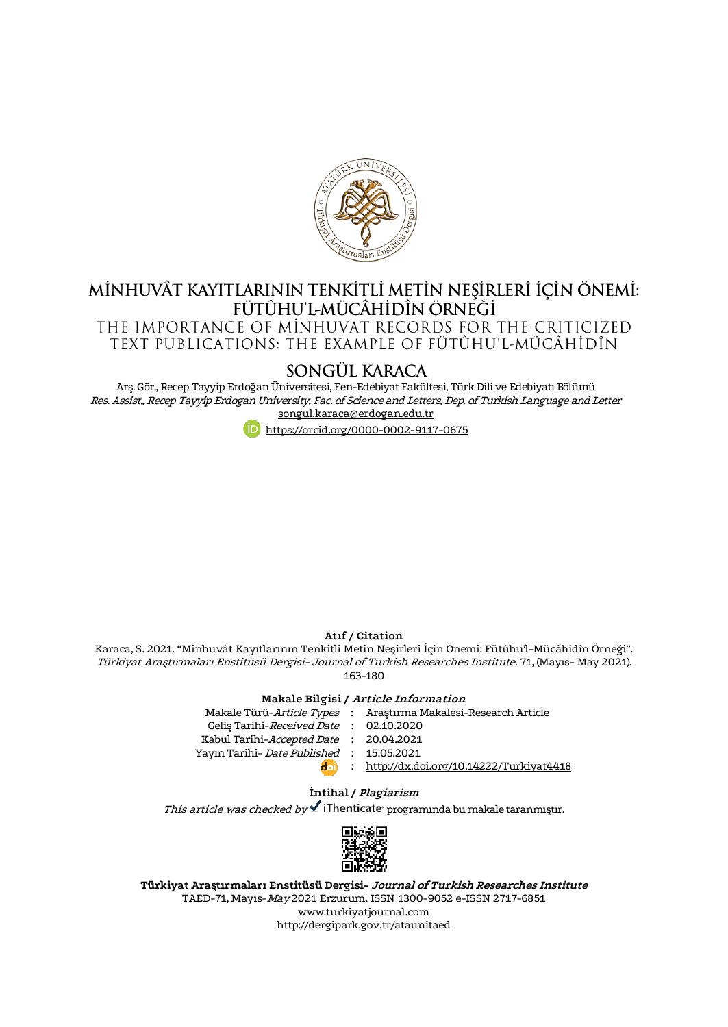

# MİNHUVÂT KAYITLARININ TENKİTLİ METİN NEŞİRLERİ İÇİN ÖNEMİ:<br>FÜTÛHU'L-MÜCÂHİDÎN ÖRNEĞİ

THE IMPORTANCE OF MINHUVAT RECORDS FOR THE CRITICIZED TEXT PUBLICATIONS: THE EXAMPLE OF FÜTÛHU'L-MÜCÂHİDÎN

# SONGÜL KARACA

Arş. Gör., Recep Tayyip Erdoğan Üniversitesi, Fen-Edebiyat Fakültesi, Türk Dili ve Edebiyatı Bölümü Res. Assist., Recep Tayyip Erdogan University, Fac. of Science and Letters, Dep. of Turkish Language and Letter [songul.karaca@erdogan.edu.tr](mailto:songul.karaca@erdogan.edu.tr)



#### **Atıf / Citation**

Karaca, S. 2021. "Minhuvât Kayıtlarının Tenkitli Metin Neşirleri İçin Önemi: Fütûhu'l-Mücâhidîn Örneği". Türkiyat Araştırmaları Enstitüsü Dergisi- Journal of Turkish Researches Institute. 71, (Mayıs- May 2021). 163-180

#### **Makale Bilgisi / Article Information**

|                                          | Makale Türü- <i>Article Types</i> : Arastırma Makalesi-Research Article |
|------------------------------------------|-------------------------------------------------------------------------|
| Gelis Tarihi-Received Date: 02.10.2020   |                                                                         |
| Kabul Tarihi-Accepted Date : 20.04.2021  |                                                                         |
| Yayın Tarihi- Date Published: 15.05.2021 |                                                                         |
| $d$ oi                                   | : http://dx.doi.org/10.14222/Turkiyat4418                               |
|                                          |                                                                         |

#### **İntihal / Plagiarism**

This article was checked by  $\blacktriangle$  iThenticate programında bu makale taranmıştır.



**Türkiyat Araştırmaları Enstitüsü Dergisi- Journal of Turkish Researches Institute** TAED-71, Mayıs-May 2021 Erzurum. ISSN 1300-9052 e-ISSN 2717-6851 [www.turkiyatjournal.com](http://www.turkiyatjournal.com/) <http://dergipark.gov.tr/ataunitaed>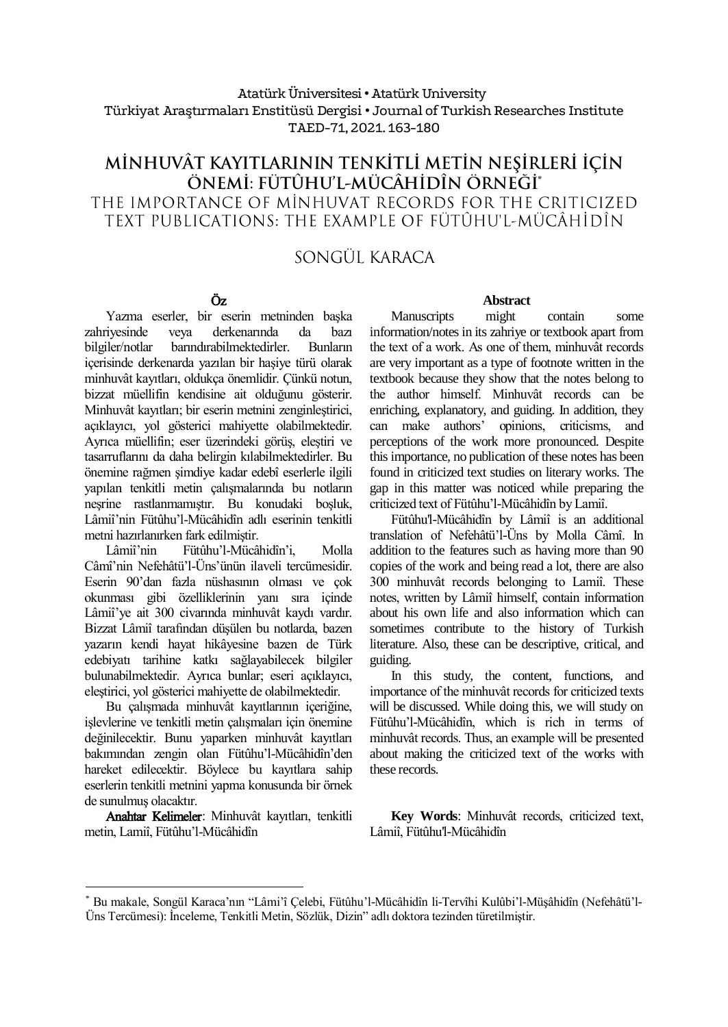## Atatürk Üniversitesi• Atatürk University Türkiyat Araştırmaları Enstitüsü Dergisi • Journal of Turkish Researches Institute TAED-71, 2021. 163-180

# MİNHUVÂT KAYITLARININ TENKİTLİ METİN NEŞİRLERİ İÇİN ÖNEMİ: FÜTÛHU'L-MÜCÂHİDÎN ÖRNEĞİ\* THE IMPORTANCE OF MINHUVAT RECORDS FOR THE CRITICIZED TEXT PUBLICATIONS: THE EXAMPLE OF FÜTÛHU'L-MÜCÂHİDÎN

# SONGÜI KARACA

# Öz

Yazma eserler, bir eserin metninden başka zahriyesinde veya derkenarında da bazı<br>bilgiler/notlar barındırabilmektedirler. Bunların barındırabilmektedirler. içerisinde derkenarda yazılan bir haşiye türü olarak minhuvât kayıtları, oldukça önemlidir. Çünkü notun, bizzat müellifin kendisine ait olduğunu gösterir. Minhuvât kayıtları; bir eserin metnini zenginleştirici, açıklayıcı, yol gösterici mahiyette olabilmektedir. Ayrıca müellifin; eser üzerindeki görüş, eleştiri ve tasarruflarını da daha belirgin kılabilmektedirler. Bu önemine rağmen şimdiye kadar edebî eserlerle ilgili yapılan tenkitli metin çalışmalarında bu notların neşrine rastlanmamıştır. Bu konudaki boşluk, Lâmiî'nin Fütûhu'l-Mücâhidîn adlı eserinin tenkitli metni hazırlanırken fark edilmiştir.

Lâmiî'nin Fütûhu'l-Mücâhidîn'i, Molla Câmî'nin Nefehâtü'l-Üns'ünün ilaveli tercümesidir. Eserin 90'dan fazla nüshasının olması ve çok okunması gibi özelliklerinin yanı sıra içinde Lâmiî'ye ait 300 civarında minhuvât kaydı vardır. Bizzat Lâmiî tarafından düşülen bu notlarda, bazen yazarın kendi hayat hikâyesine bazen de Türk edebiyatı tarihine katkı sağlayabilecek bilgiler bulunabilmektedir. Ayrıca bunlar; eseri açıklayıcı, eleştirici, yol gösterici mahiyette de olabilmektedir.

Bu çalışmada minhuvât kayıtlarının içeriğine, işlevlerine ve tenkitli metin çalışmaları için önemine değinilecektir. Bunu yaparken minhuvât kayıtları bakımından zengin olan Fütûhu'l-Mücâhidîn'den hareket edilecektir. Böylece bu kayıtlara sahip eserlerin tenkitli metnini yapma konusunda bir örnek de sunulmuş olacaktır.

Anahtar Kelimeler: Minhuvât kayıtları, tenkitli metin, Lamiî, Fütûhu'l-Mücâhidîn

 $\overline{a}$ 

#### **Abstract**

Manuscripts might contain some information/notes in its zahriye or textbook apart from the text of a work. As one of them, minhuvât records are very important as a type of footnote written in the textbook because they show that the notes belong to the author himself. Minhuvât records can be enriching, explanatory, and guiding. In addition, they can make authors' opinions, criticisms, and perceptions of the work more pronounced. Despite this importance, no publication of these notes has been found in criticized text studies on literary works. The gap in this matter was noticed while preparing the criticized text of Fütûhu'l-Mücâhidîn by Lamiî.

Fütûhu'l-Mücâhidîn by Lâmiî is an additional translation of Nefehâtü'l-Üns by Molla Câmî. In addition to the features such as having more than 90 copies of the work and being read a lot, there are also 300 minhuvât records belonging to Lamiî. These notes, written by Lâmiî himself, contain information about his own life and also information which can sometimes contribute to the history of Turkish literature. Also, these can be descriptive, critical, and guiding.

In this study, the content, functions, and importance of the minhuvât records for criticized texts will be discussed. While doing this, we will study on Fütûhu'l-Mücâhidîn, which is rich in terms of minhuvât records. Thus, an example will be presented about making the criticized text of the works with these records.

**Key Words**: Minhuvât records, criticized text, Lâmiî, Fütûhu'l-Mücâhidîn

<sup>\*</sup> Bu makale, Songül Karaca'nın "Lâmi'î Çelebi, Fütûhu'l-Mücâhidîn li-Tervîhi Kulûbi'l-Müşâhidîn (Nefehâtü'l-Üns Tercümesi): İnceleme, Tenkitli Metin, Sözlük, Dizin" adlı doktora tezinden türetilmiştir.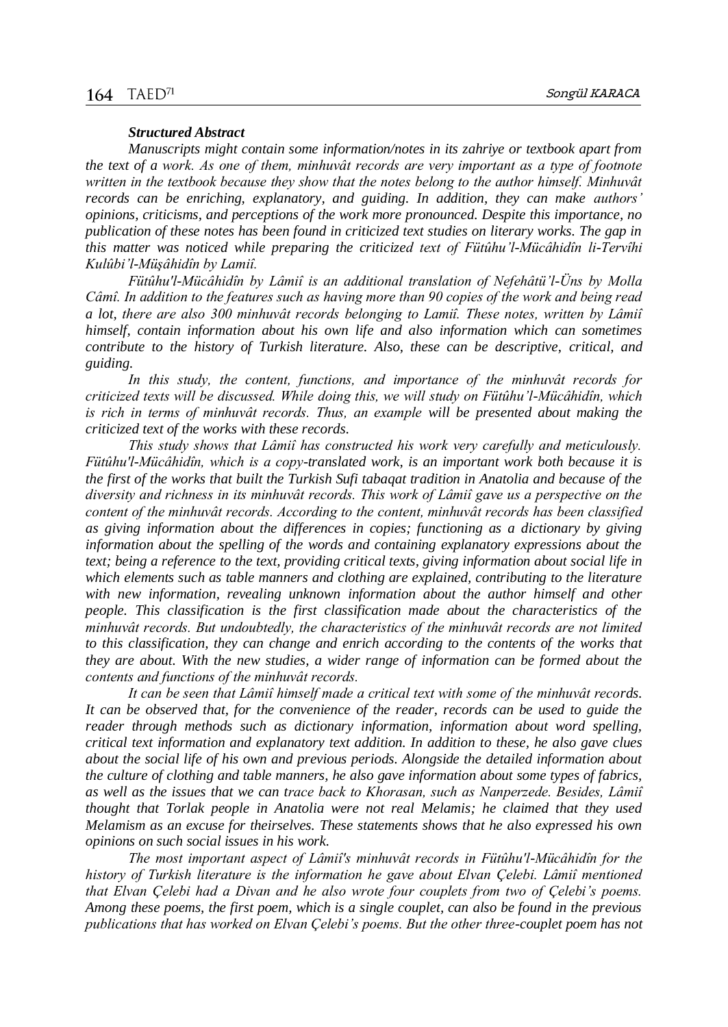#### *Structured Abstract*

*Manuscripts might contain some information/notes in its zahriye or textbook apart from the text of a work. As one of them, minhuvât records are very important as a type of footnote written in the textbook because they show that the notes belong to the author himself. Minhuvât records can be enriching, explanatory, and guiding. In addition, they can make authors' opinions, criticisms, and perceptions of the work more pronounced. Despite this importance, no publication of these notes has been found in criticized text studies on literary works. The gap in this matter was noticed while preparing the criticized text of Fütûhu'l-Mücâhidîn li-Tervîhi Kulûbi'l-Müşâhidîn by Lamiî.*

*Fütûhu'l-Mücâhidîn by Lâmiî is an additional translation of Nefehâtü'l-Üns by Molla Câmî. In addition to the features such as having more than 90 copies of the work and being read a lot, there are also 300 minhuvât records belonging to Lamiî. These notes, written by Lâmiî himself, contain information about his own life and also information which can sometimes contribute to the history of Turkish literature. Also, these can be descriptive, critical, and guiding.*

*In this study, the content, functions, and importance of the minhuvât records for criticized texts will be discussed. While doing this, we will study on Fütûhu'l-Mücâhidîn, which is rich in terms of minhuvât records. Thus, an example will be presented about making the criticized text of the works with these records.*

*This study shows that Lâmiî has constructed his work very carefully and meticulously. Fütûhu'l-Mücâhidîn, which is a copy-translated work, is an important work both because it is the first of the works that built the Turkish Sufi tabaqat tradition in Anatolia and because of the diversity and richness in its minhuvât records. This work of Lâmiî gave us a perspective on the content of the minhuvât records. According to the content, minhuvât records has been classified as giving information about the differences in copies; functioning as a dictionary by giving information about the spelling of the words and containing explanatory expressions about the text; being a reference to the text, providing critical texts, giving information about social life in which elements such as table manners and clothing are explained, contributing to the literature with new information, revealing unknown information about the author himself and other people. This classification is the first classification made about the characteristics of the minhuvât records. But undoubtedly, the characteristics of the minhuvât records are not limited to this classification, they can change and enrich according to the contents of the works that they are about. With the new studies, a wider range of information can be formed about the contents and functions of the minhuvât records.*

*It can be seen that Lâmiî himself made a critical text with some of the minhuvât records. It can be observed that, for the convenience of the reader, records can be used to guide the reader through methods such as dictionary information, information about word spelling, critical text information and explanatory text addition. In addition to these, he also gave clues about the social life of his own and previous periods. Alongside the detailed information about the culture of clothing and table manners, he also gave information about some types of fabrics, as well as the issues that we can trace back to Khorasan, such as Nanperzede. Besides, Lâmiî thought that Torlak people in Anatolia were not real Melamis; he claimed that they used Melamism as an excuse for theirselves. These statements shows that he also expressed his own opinions on such social issues in his work.* 

*The most important aspect of Lâmiî's minhuvât records in Fütûhu'l-Mücâhidîn for the history of Turkish literature is the information he gave about Elvan Çelebi. Lâmiî mentioned that Elvan Çelebi had a Divan and he also wrote four couplets from two of Çelebi's poems. Among these poems, the first poem, which is a single couplet, can also be found in the previous publications that has worked on Elvan Çelebi's poems. But the other three-couplet poem has not*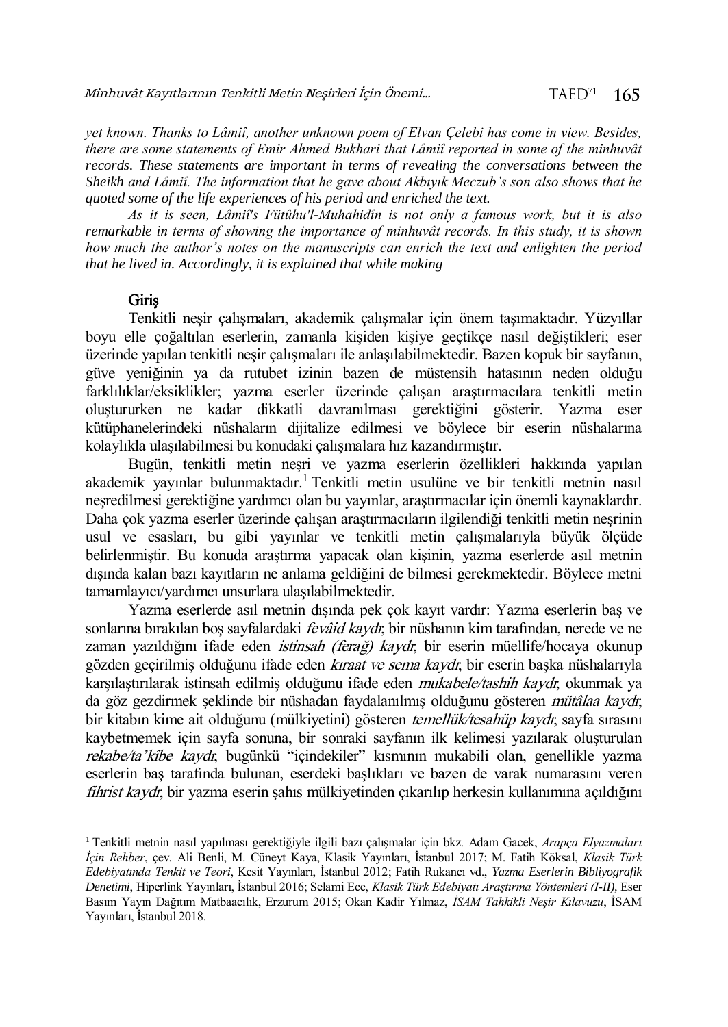*yet known. Thanks to Lâmiî, another unknown poem of Elvan Çelebi has come in view. Besides, there are some statements of Emir Ahmed Bukhari that Lâmiî reported in some of the minhuvât records. These statements are important in terms of revealing the conversations between the Sheikh and Lâmiî. The information that he gave about Akbıyık Meczub's son also shows that he quoted some of the life experiences of his period and enriched the text.*

*As it is seen, Lâmiî's Fütûhu'l-Muhahidîn is not only a famous work, but it is also remarkable in terms of showing the importance of minhuvât records. In this study, it is shown how much the author's notes on the manuscripts can enrich the text and enlighten the period that he lived in. Accordingly, it is explained that while making* 

#### Giriş

 $\overline{a}$ 

Tenkitli neşir çalışmaları, akademik çalışmalar için önem taşımaktadır. Yüzyıllar boyu elle çoğaltılan eserlerin, zamanla kişiden kişiye geçtikçe nasıl değiştikleri; eser üzerinde yapılan tenkitli neşir çalışmaları ile anlaşılabilmektedir. Bazen kopuk bir sayfanın, güve yeniğinin ya da rutubet izinin bazen de müstensih hatasının neden olduğu farklılıklar/eksiklikler; yazma eserler üzerinde çalışan araştırmacılara tenkitli metin oluştururken ne kadar dikkatli davranılması gerektiğini gösterir. Yazma eser kütüphanelerindeki nüshaların dijitalize edilmesi ve böylece bir eserin nüshalarına kolaylıkla ulaşılabilmesi bu konudaki çalışmalara hız kazandırmıştır.

Bugün, tenkitli metin neşri ve yazma eserlerin özellikleri hakkında yapılan akademik yayınlar bulunmaktadır.<sup>1</sup> Tenkitli metin usulüne ve bir tenkitli metnin nasıl neşredilmesi gerektiğine yardımcı olan bu yayınlar, araştırmacılar için önemli kaynaklardır. Daha çok yazma eserler üzerinde çalışan araştırmacıların ilgilendiği tenkitli metin neşrinin usul ve esasları, bu gibi yayınlar ve tenkitli metin çalışmalarıyla büyük ölçüde belirlenmiştir. Bu konuda araştırma yapacak olan kişinin, yazma eserlerde asıl metnin dışında kalan bazı kayıtların ne anlama geldiğini de bilmesi gerekmektedir. Böylece metni tamamlayıcı/yardımcı unsurlara ulaşılabilmektedir.

Yazma eserlerde asıl metnin dışında pek çok kayıt vardır: Yazma eserlerin baş ve sonlarına bırakılan boş sayfalardaki *fevâid kaydı*; bir nüshanın kim tarafından, nerede ve ne zaman yazıldığını ifade eden *istinsah (ferağ) kaydı*; bir eserin müellife/hocaya okunup gözden geçirilmiş olduğunu ifade eden kıraat ve sema kaydı; bir eserin başka nüshalarıyla karşılaştırılarak istinsah edilmiş olduğunu ifade eden *mukabele/tashih kaydı*; okunmak ya da göz gezdirmek seklinde bir nüshadan faydalanılmış olduğunu gösteren *mütâlaa kaydı*; bir kitabın kime ait olduğunu (mülkiyetini) gösteren *temellük/tesahüp kaydı*; sayfa sırasını kaybetmemek için sayfa sonuna, bir sonraki sayfanın ilk kelimesi yazılarak oluşturulan rekabe/ta'kîbe kaydı; bugünkü "içindekiler" kısmının mukabili olan, genellikle yazma eserlerin baş tarafında bulunan, eserdeki başlıkları ve bazen de varak numarasını veren fihrist kaydr, bir yazma eserin şahıs mülkiyetinden çıkarılıp herkesin kullanımına açıldığını

<sup>1</sup> Tenkitli metnin nasıl yapılması gerektiğiyle ilgili bazı çalışmalar için bkz. Adam Gacek, *Arapça Elyazmaları İçin Rehber*, çev. Ali Benli, M. Cüneyt Kaya, Klasik Yayınları, İstanbul 2017; M. Fatih Köksal, *Klasik Türk Edebiyatında Tenkit ve Teori*, Kesit Yayınları, İstanbul 2012; Fatih Rukancı vd., *Yazma Eserlerin Bibliyografik Denetimi*, Hiperlink Yayınları, İstanbul 2016; Selami Ece, *Klasik Türk Edebiyatı Araştırma Yöntemleri (I-II)*, Eser Basım Yayın Dağıtım Matbaacılık, Erzurum 2015; Okan Kadir Yılmaz, *İSAM Tahkikli Neşir Kılavuzu*, İSAM Yayınları, İstanbul 2018.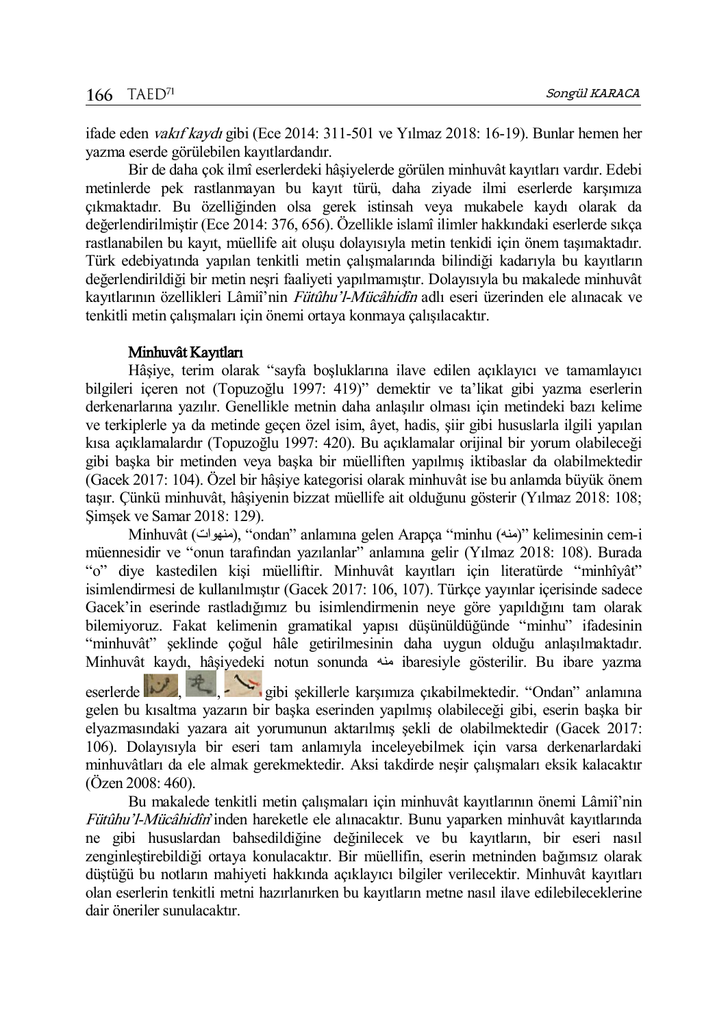ifade eden vakıf kaydı gibi (Ece 2014: 311-501 ve Yılmaz 2018: 16-19). Bunlar hemen her yazma eserde görülebilen kayıtlardandır.

Bir de daha çok ilmî eserlerdeki hâşiyelerde görülen minhuvât kayıtları vardır. Edebi metinlerde pek rastlanmayan bu kayıt türü, daha ziyade ilmi eserlerde karşımıza çıkmaktadır. Bu özelliğinden olsa gerek istinsah veya mukabele kaydı olarak da değerlendirilmiştir (Ece 2014: 376, 656). Özellikle islamî ilimler hakkındaki eserlerde sıkça rastlanabilen bu kayıt, müellife ait oluşu dolayısıyla metin tenkidi için önem taşımaktadır. Türk edebiyatında yapılan tenkitli metin çalışmalarında bilindiği kadarıyla bu kayıtların değerlendirildiği bir metin neşri faaliyeti yapılmamıştır. Dolayısıyla bu makalede minhuvât kayıtlarının özellikleri Lâmiî'nin Fütûhu'l-Mücâhidîn adlı eseri üzerinden ele alınacak ve tenkitli metin çalışmaları için önemi ortaya konmaya çalışılacaktır.

#### Minhuvât Kayıtları

Hâşiye, terim olarak "sayfa boşluklarına ilave edilen açıklayıcı ve tamamlayıcı bilgileri içeren not (Topuzoğlu 1997: 419)" demektir ve ta'likat gibi yazma eserlerin derkenarlarına yazılır. Genellikle metnin daha anlaşılır olması için metindeki bazı kelime ve terkiplerle ya da metinde geçen özel isim, âyet, hadis, şiir gibi hususlarla ilgili yapılan kısa açıklamalardır (Topuzoğlu 1997: 420). Bu açıklamalar orijinal bir yorum olabileceği gibi başka bir metinden veya başka bir müelliften yapılmış iktibaslar da olabilmektedir (Gacek 2017: 104). Özel bir hâşiye kategorisi olarak minhuvât ise bu anlamda büyük önem taşır. Çünkü minhuvât, hâşiyenin bizzat müellife ait olduğunu gösterir (Yılmaz 2018: 108; Şimşek ve Samar 2018: 129).

Minhuvât (منهوات), "ondan" anlamına gelen Arapça "minhu (منه)" kelimesinin cem-i müennesidir ve "onun tarafından yazılanlar" anlamına gelir (Yılmaz 2018: 108). Burada "o" diye kastedilen kişi müelliftir. Minhuvât kayıtları için literatürde "minhîyât" isimlendirmesi de kullanılmıştır (Gacek 2017: 106, 107). Türkçe yayınlar içerisinde sadece Gacek'in eserinde rastladığımız bu isimlendirmenin neye göre yapıldığını tam olarak bilemiyoruz. Fakat kelimenin gramatikal yapısı düşünüldüğünde "minhu" ifadesinin "minhuvât" şeklinde çoğul hâle getirilmesinin daha uygun olduğu anlaşılmaktadır. Minhuvât kaydı, hâşiyedeki notun sonunda منه ibaresiyle gösterilir. Bu ibare yazma

eserlerde  $\mathbb{R}$ , gibi şekillerle karşımıza çıkabilmektedir. "Ondan" anlamına gelen bu kısaltma yazarın bir başka eserinden yapılmış olabileceği gibi, eserin başka bir elyazmasındaki yazara ait yorumunun aktarılmış şekli de olabilmektedir (Gacek 2017: 106). Dolayısıyla bir eseri tam anlamıyla inceleyebilmek için varsa derkenarlardaki minhuvâtları da ele almak gerekmektedir. Aksi takdirde neşir çalışmaları eksik kalacaktır (Özen 2008: 460).

Bu makalede tenkitli metin çalışmaları için minhuvât kayıtlarının önemi Lâmiî'nin Fütûhu'l-Mücâhidîn'inden hareketle ele alınacaktır. Bunu yaparken minhuvât kayıtlarında ne gibi hususlardan bahsedildiğine değinilecek ve bu kayıtların, bir eseri nasıl zenginleştirebildiği ortaya konulacaktır. Bir müellifin, eserin metninden bağımsız olarak düştüğü bu notların mahiyeti hakkında açıklayıcı bilgiler verilecektir. Minhuvât kayıtları olan eserlerin tenkitli metni hazırlanırken bu kayıtların metne nasıl ilave edilebileceklerine dair öneriler sunulacaktır.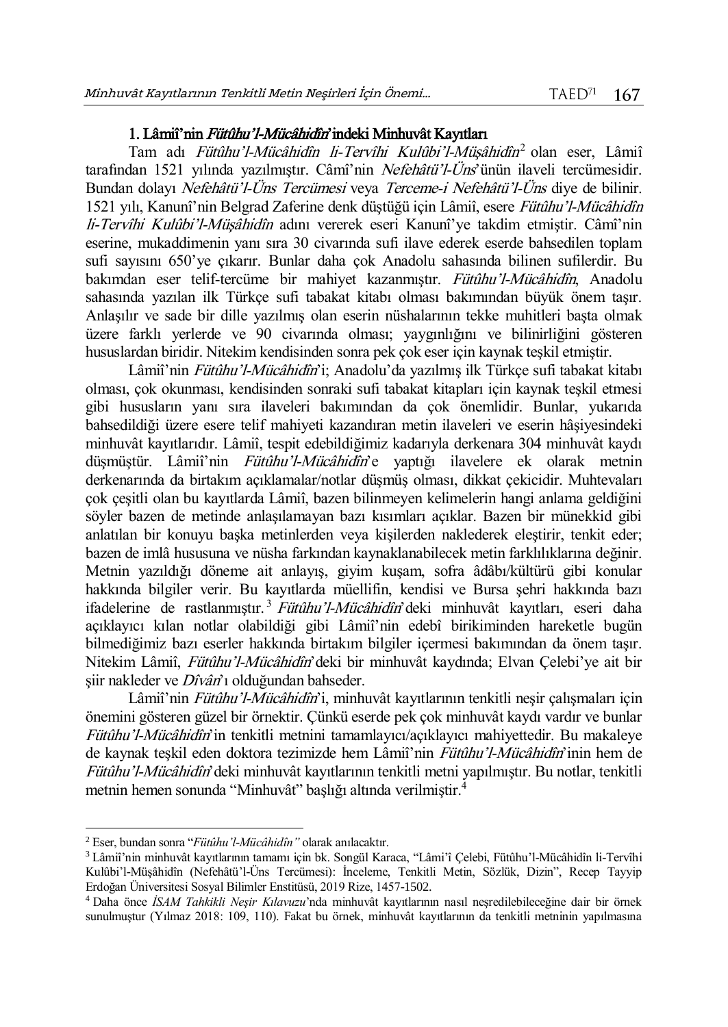## 1. Lâmiî'nin Fütûhu'l-Mücâhidîn'indeki Minhuvât Kayıtları

Tam adı *Fütûhu'l-Mücâhidîn li-Tervîhi Kulûbi'l-Müşâhidîn*<sup>2</sup> olan eser, Lâmiî tarafından 1521 yılında yazılmıştır. Câmî'nin Nefehâtü'l-Üns'ünün ilaveli tercümesidir. Bundan dolayı Nefehâtü'l-Üns Tercümesi veya Terceme-i Nefehâtü'l-Üns diye de bilinir. 1521 yılı, Kanunî'nin Belgrad Zaferine denk düştüğü için Lâmiî, esere Fütûhu'l-Mücâhidîn li-Tervîhi Kulûbi'l-Müşâhidîn adını vererek eseri Kanunî'ye takdim etmiştir. Câmî'nin eserine, mukaddimenin yanı sıra 30 civarında sufi ilave ederek eserde bahsedilen toplam sufi sayısını 650'ye çıkarır. Bunlar daha çok Anadolu sahasında bilinen sufilerdir. Bu bakımdan eser telif-tercüme bir mahiyet kazanmıştır. Fütûhu'l-Mücâhidîn, Anadolu sahasında yazılan ilk Türkçe sufi tabakat kitabı olması bakımından büyük önem taşır. Anlaşılır ve sade bir dille yazılmış olan eserin nüshalarının tekke muhitleri başta olmak üzere farklı yerlerde ve 90 civarında olması; yaygınlığını ve bilinirliğini gösteren hususlardan biridir. Nitekim kendisinden sonra pek çok eser için kaynak teşkil etmiştir.

Lâmiî'nin Fütûhu'l-Mücâhidîn'i; Anadolu'da yazılmış ilk Türkçe sufi tabakat kitabı olması, çok okunması, kendisinden sonraki sufi tabakat kitapları için kaynak teşkil etmesi gibi hususların yanı sıra ilaveleri bakımından da çok önemlidir. Bunlar, yukarıda bahsedildiği üzere esere telif mahiyeti kazandıran metin ilaveleri ve eserin hâşiyesindeki minhuvât kayıtlarıdır. Lâmiî, tespit edebildiğimiz kadarıyla derkenara 304 minhuvât kaydı düşmüştür. Lâmiî'nin Fütûhu'l-Mücâhidîn'e yaptığı ilavelere ek olarak metnin derkenarında da birtakım açıklamalar/notlar düşmüş olması, dikkat çekicidir. Muhtevaları çok çeşitli olan bu kayıtlarda Lâmiî, bazen bilinmeyen kelimelerin hangi anlama geldiğini söyler bazen de metinde anlaşılamayan bazı kısımları açıklar. Bazen bir münekkid gibi anlatılan bir konuyu başka metinlerden veya kişilerden naklederek eleştirir, tenkit eder; bazen de imlâ hususuna ve nüsha farkından kaynaklanabilecek metin farklılıklarına değinir. Metnin yazıldığı döneme ait anlayış, giyim kuşam, sofra âdâbı/kültürü gibi konular hakkında bilgiler verir. Bu kayıtlarda müellifin, kendisi ve Bursa şehri hakkında bazı ifadelerine de rastlanmıştır.<sup>3</sup> Fütûhu'l-Mücâhidîn'deki minhuvât kayıtları, eseri daha açıklayıcı kılan notlar olabildiği gibi Lâmiî'nin edebî birikiminden hareketle bugün bilmediğimiz bazı eserler hakkında birtakım bilgiler içermesi bakımından da önem taşır. Nitekim Lâmiî, Fütûhu'l-Mücâhidîn'deki bir minhuvât kaydında; Elvan Çelebi'ye ait bir şiir nakleder ve Dîvân'ı olduğundan bahseder.

Lâmiî'nin Fütûhu'l-Mücâhidîn'i, minhuvât kayıtlarının tenkitli neşir çalışmaları için önemini gösteren güzel bir örnektir. Çünkü eserde pek çok minhuvât kaydı vardır ve bunlar Fütûhu'l-Mücâhidîn'in tenkitli metnini tamamlayıcı/açıklayıcı mahiyettedir. Bu makaleye de kaynak teşkil eden doktora tezimizde hem Lâmiî'nin Fütûhu'l-Mücâhidîn'inin hem de Fütûhu'l-Mücâhidîn'deki minhuvât kayıtlarının tenkitli metni yapılmıştır. Bu notlar, tenkitli metnin hemen sonunda "Minhuvât" başlığı altında verilmiştir.<sup>4</sup>

 $\overline{a}$ 

<sup>2</sup> Eser, bundan sonra "*Fütûhu'l-Mücâhidîn"* olarak anılacaktır.

<sup>3</sup> Lâmiî'nin minhuvât kayıtlarının tamamı için bk. Songül Karaca, "Lâmi'î Çelebi, Fütûhu'l-Mücâhidîn li-Tervîhi Kulûbi'l-Müşâhidîn (Nefehâtü'l-Üns Tercümesi): İnceleme, Tenkitli Metin, Sözlük, Dizin", Recep Tayyip Erdoğan Üniversitesi Sosyal Bilimler Enstitüsü, 2019 Rize, 1457-1502.

<sup>4</sup> Daha önce *İSAM Tahkikli Neşir Kılavuzu*'nda minhuvât kayıtlarının nasıl neşredilebileceğine dair bir örnek sunulmuştur (Yılmaz 2018: 109, 110). Fakat bu örnek, minhuvât kayıtlarının da tenkitli metninin yapılmasına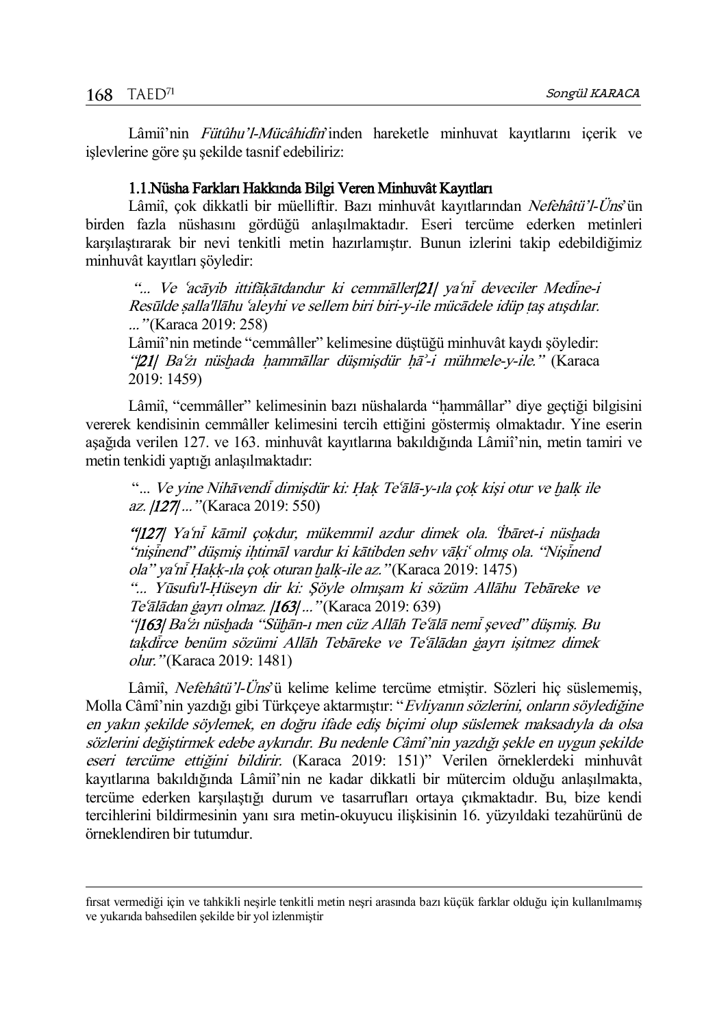$\overline{a}$ 

Lâmiî'nin Fütûhu'l-Mücâhidîn'inden hareketle minhuvat kayıtlarını içerik ve işlevlerine göre şu şekilde tasnif edebiliriz:

## 1.1.Nüsha Farkları Hakkında Bilgi Veren Minhuvât Kayıtları

Lâmiî, çok dikkatli bir müelliftir. Bazı minhuvât kayıtlarından Nefehâtü'l-Üns'ün birden fazla nüshasını gördüğü anlaşılmaktadır. Eseri tercüme ederken metinleri karşılaştırarak bir nevi tenkitli metin hazırlamıştır. Bunun izlerini takip edebildiğimiz minhuvât kayıtları şöyledir:

"... Ve 'acāyib ittifākātdandur ki cemmāller|21| ya'nī deveciler Medīne-i Resūlde salla'llāhu ʿaleyhi ve sellem biri biri-y-ile mücādele idüp tas atışdılar. ..." (Karaca 2019: 258)

Lâmiî'nin metinde "cemmâller" kelimesine düştüğü minhuvât kaydı şöyledir: " $|21|$  Ba'zı nüshada hammāllar düşmişdür hā'-i mühmele-y-ile." (Karaca 2019: 1459)

Lâmiî, "cemmâller" kelimesinin bazı nüshalarda "hammâllar" diye geçtiği bilgisini vererek kendisinin cemmâller kelimesini tercih ettiğini göstermiş olmaktadır. Yine eserin aşağıda verilen 127. ve 163. minhuvât kayıtlarına bakıldığında Lâmiî'nin, metin tamiri ve metin tenkidi yaptığı anlaşılmaktadır:

"... Ve yine Nihāvendi dimişdür ki: Hak Te'ālā-y-ıla çok kişi otur ve halk ile az. |127| ..." (Karaca 2019: 550)

"|127| Yaʿni kāmil çokdur, mükemmil azdur dimek ola. İbāret-i nüshada "nişinend" düşmiş ihtimāl vardur ki kātibden sehv vāki" olmış ola. "Nişinend ola" ya'ni Hakk-ıla çok oturan halk-ile az. "(Karaca 2019: 1475)

"... Yūsufu'l-Hüseyn dir ki: Söyle olmışam ki sözüm Allāhu Tebāreke ve Te'ālādan ģayrı olmaz. [163] ..." (Karaca 2019: 639)

"|163| Baʻzı nüshada "Sühān-ı men cüz Allāh Teʻālā nemi şeved" düşmiş. Bu takdirce benüm sözümi Allāh Tebāreke ve Te'ālādan gayrı işitmez dimek olur." (Karaca 2019: 1481)

Lâmiî, Nefehâtü'l-Üns'ü kelime kelime tercüme etmiştir. Sözleri hiç süslememiş, Molla Câmî'nin yazdığı gibi Türkçeye aktarmıştır: "Evliyanın sözlerini, onların söylediğine en yakın şekilde söylemek, en doğru ifade ediş biçimi olup süslemek maksadıyla da olsa sözlerini değiştirmek edebe aykırıdır. Bu nedenle Câmî'nin yazdığı şekle en uygun şekilde eseri tercüme ettiğini bildirir. (Karaca 2019: 151)" Verilen örneklerdeki minhuvât kayıtlarına bakıldığında Lâmiî'nin ne kadar dikkatli bir mütercim olduğu anlaşılmakta, tercüme ederken karşılaştığı durum ve tasarrufları ortaya çıkmaktadır. Bu, bize kendi tercihlerini bildirmesinin yanı sıra metin-okuyucu ilişkisinin 16. yüzyıldaki tezahürünü de örneklendiren bir tutumdur.

fırsat vermediği için ve tahkikli neşirle tenkitli metin neşri arasında bazı küçük farklar olduğu için kullanılmamış ve yukarıda bahsedilen şekilde bir yol izlenmiştir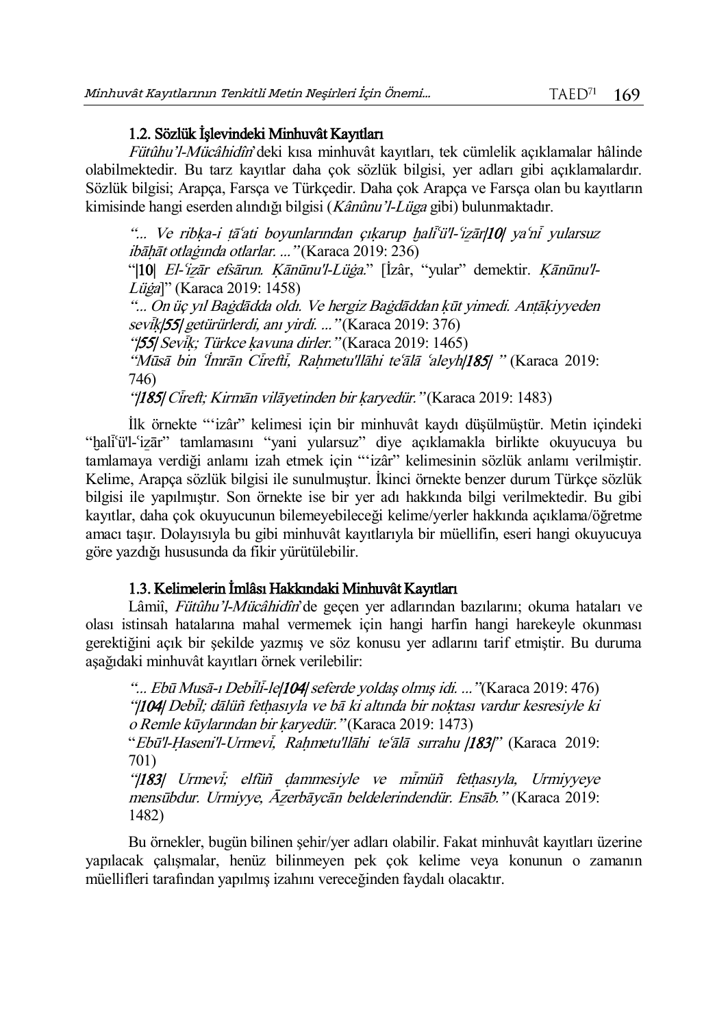# 1.2. Sözlük İşlevindeki Minhuvât Kayıtları

Fütûhu'l-Mücâhidîn'deki kısa minhuvât kayıtları, tek cümlelik açıklamalar hâlinde olabilmektedir. Bu tarz kayıtlar daha çok sözlük bilgisi, yer adları gibi açıklamalardır. Sözlük bilgisi; Arapça, Farsça ve Türkçedir. Daha çok Arapça ve Farsça olan bu kayıtların kimisinde hangi eserden alındığı bilgisi (Kânûnu'l-Lüga gibi) bulunmaktadır.

"... Ve ribka-i tāʻati boyunlarından çıkarup haliʻü'l-ʻizār|10| yaʻni yularsuz ibāhāt otlaģinda otlarlar. ..." (Karaca 2019: 236)

"|10| El-ʻizār efsārun. Kānūnu'l-Lüġa." [İzâr, "yular" demektir. Kānūnu'l-Lüġa]" (Karaca 2019: 1458)

"... On üç yıl Baġdādda oldı. Ve hergiz Baġdāddan kūt yimedi. Antākiyyeden sevik/55/ getürürlerdi, anı yirdi. ... "(Karaca 2019: 376)

"[55] Sevik; Türkce kavuna dirler." (Karaca 2019: 1465)

"Mūsā bin *Tmrān Cīreftī*, Rahmetu'llāhi te'ālā 'aleyh|185| " (Karaca 2019: 746)

"|185| Cireft; Kirmān vilāyetinden bir karyedür." (Karaca 2019: 1483)

İlk örnekte "'izâr" kelimesi için bir minhuvât kaydı düşülmüştür. Metin içindeki "hali'ü'l-'izār" tamlamasını "yani yularsuz" diye açıklamakla birlikte okuyucuya bu tamlamaya verdiği anlamı izah etmek için "'izâr" kelimesinin sözlük anlamı verilmiştir. Kelime, Arapça sözlük bilgisi ile sunulmuştur. İkinci örnekte benzer durum Türkçe sözlük bilgisi ile yapılmıştır. Son örnekte ise bir yer adı hakkında bilgi verilmektedir. Bu gibi kayıtlar, daha çok okuyucunun bilemeyebileceği kelime/yerler hakkında açıklama/öğretme amacı taşır. Dolayısıyla bu gibi minhuvât kayıtlarıyla bir müellifin, eseri hangi okuyucuya göre yazdığı hususunda da fikir yürütülebilir.

# 1.3. Kelimelerin İmlâsı Hakkındaki Minhuvât Kayıtları

Lâmiî, Fütûhu'l-Mücâhidîn'de geçen yer adlarından bazılarını; okuma hataları ve olası istinsah hatalarına mahal vermemek için hangi harfin hangi harekeyle okunması gerektiğini açık bir şekilde yazmış ve söz konusu yer adlarını tarif etmiştir. Bu duruma aşağıdaki minhuvât kayıtları örnek verilebilir:

"... Ebū Musā-ı Debili-le|104| seferde yoldaş olmış idi. ..." (Karaca 2019: 476) "|104| Debil; dālüñ fethasıyla ve bā ki altında bir noktası vardur kesresiyle ki o Remle kūylarından bir karyedür." (Karaca 2019: 1473) "Ebū'l-Haseni'l-Urmevi, Rahmetu'llāhi teʿālā sırrahu |183|" (Karaca 2019:

701)

"|183| Urmevi; elfüñ dammesiyle ve mimüñ fethasıyla, Urmiyyeye mensūbdur. Urmiyye, Āzerbāycān beldelerindendür. Ensāb." (Karaca 2019: 1482)

Bu örnekler, bugün bilinen şehir/yer adları olabilir. Fakat minhuvât kayıtları üzerine yapılacak çalışmalar, henüz bilinmeyen pek çok kelime veya konunun o zamanın müellifleri tarafından yapılmış izahını vereceğinden faydalı olacaktır.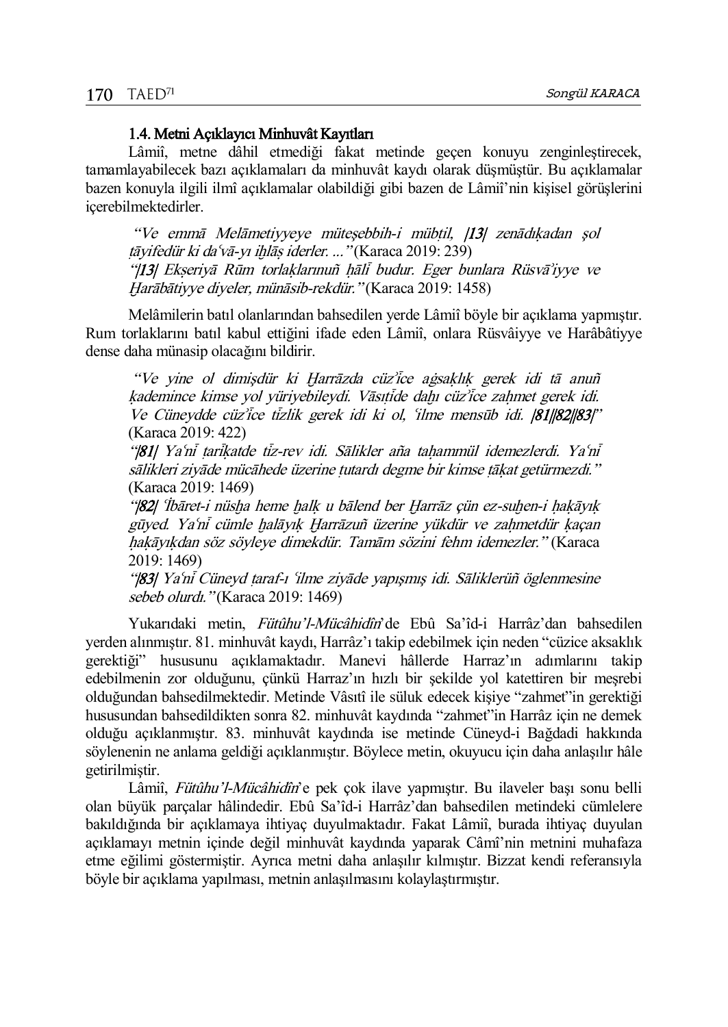# 1.4. Metni Açıklayıcı Minhuvât Kayıtları

Lâmiî, metne dâhil etmediği fakat metinde geçen konuyu zenginleştirecek, tamamlayabilecek bazı açıklamaları da minhuvât kaydı olarak düşmüştür. Bu açıklamalar bazen konuyla ilgili ilmî açıklamalar olabildiği gibi bazen de Lâmiî'nin kişisel görüşlerini içerebilmektedirler.

"Ve emmā Melāmetiyyeye mütesebbih-i mübtil, [13] zenādıkadan şol  $t\bar{a}$ yifedür ki daʻv $\bar{a}$ -yı ihl $\bar{a}$ s iderler. ..." (Karaca 2019: 239) "|13| Ekseriyā Rūm torlaklarınuñ hāli budur. Eger bunlara Rüsvā'iyye ve Õarābātiyye diyeler, münāsib-rekdür." (Karaca 2019: 1458)

Melâmilerin batıl olanlarından bahsedilen yerde Lâmiî böyle bir açıklama yapmıştır. Rum torlaklarını batıl kabul ettiğini ifade eden Lâmiî, onlara Rüsvâiyye ve Harâbâtiyye dense daha münasip olacağını bildirir.

"Ve yine ol dimişdür ki Harrāzda cüz<sup>y</sup>ice agsaklık gerek idi tā anuñ kademince kimse yol yüriyebileydi. Vāsıtide dahı cüz'ice zahmet gerek idi. Ve Cüneydde cüz<sup>y</sup>ice tizlik gerek idi ki ol, 'ilme mensūb idi. |81||82||83|" (Karaca 2019: 422)

"|81| Yaʿnī tarikatde tiz-rev idi. Sālikler aña tahammül idemezlerdi. Yaʿnī sālikleri ziyāde mücāhede üzerine tutardı degme bir kimse tākat getürmezdi." (Karaca 2019: 1469)

"|82| 'İbāret-i nüsha heme halk u bālend ber Harrāz çün ez-suhen-i hakāyık gūyed. Ya'ni cümle halāyık Harrāzuñ üzerine yükdür ve zahmetdür kaçan hakāyıkdan söz söyleye dimekdür. Tamām sözini fehm idemezler." (Karaca 2019: 1469)

"|83| Ya'ni Cüneyd taraf-ı 'ilme ziyāde yapışmış idi. Sāliklerüñ öglenmesine sebeb olurdı." (Karaca 2019: 1469)

Yukarıdaki metin, Fütûhu'l-Mücâhidîn'de Ebû Sa'îd-i Harrâz'dan bahsedilen yerden alınmıştır. 81. minhuvât kaydı, Harrâz'ı takip edebilmek için neden "cüzice aksaklık gerektiği" hususunu açıklamaktadır. Manevi hâllerde Harraz'ın adımlarını takip edebilmenin zor olduğunu, çünkü Harraz'ın hızlı bir şekilde yol katettiren bir meşrebi olduğundan bahsedilmektedir. Metinde Vâsıtî ile süluk edecek kişiye "zahmet"in gerektiği hususundan bahsedildikten sonra 82. minhuvât kaydında "zahmet"in Harrâz için ne demek olduğu açıklanmıştır. 83. minhuvât kaydında ise metinde Cüneyd-i Bağdadi hakkında söylenenin ne anlama geldiği açıklanmıştır. Böylece metin, okuyucu için daha anlaşılır hâle getirilmiştir.

Lâmiî, Fütûhu'l-Mücâhidîn'e pek çok ilave yapmıştır. Bu ilaveler başı sonu belli olan büyük parçalar hâlindedir. Ebû Sa'îd-i Harrâz'dan bahsedilen metindeki cümlelere bakıldığında bir açıklamaya ihtiyaç duyulmaktadır. Fakat Lâmiî, burada ihtiyaç duyulan açıklamayı metnin içinde değil minhuvât kaydında yaparak Câmî'nin metnini muhafaza etme eğilimi göstermiştir. Ayrıca metni daha anlaşılır kılmıştır. Bizzat kendi referansıyla böyle bir açıklama yapılması, metnin anlaşılmasını kolaylaştırmıştır.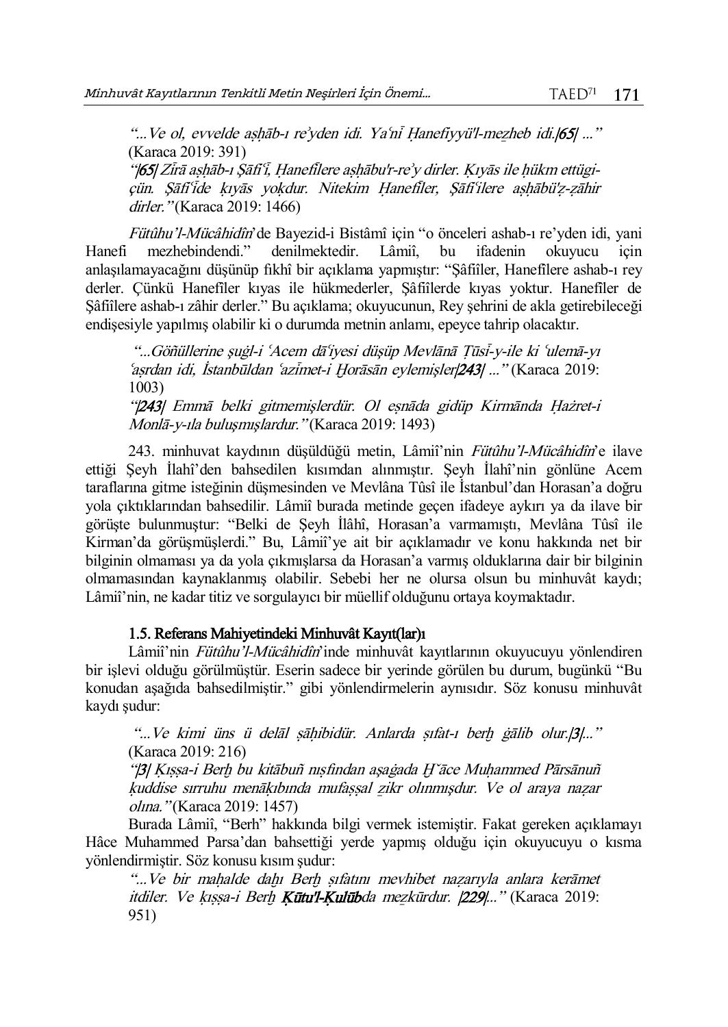"...Ve ol, evvelde ashāb-ı re'yden idi. Ya'ni Hanefiyyü'l-mezheb idi.|65| ..." (Karaca 2019: 391)

"|65| Zīrā ashāb-ı Şāfi'i, Hanefilere ashābu'r-re'y dirler. Kıyās ile hükm ettügiçün. Sāfiʻide kıyās yokdur. Nitekim Hanefiler, Sāfiʻilere ashābü'z-zāhir dirler." (Karaca 2019: 1466)

Fütûhu'l-Mücâhidîn'de Bayezid-i Bistâmî için "o önceleri ashab-ı re'yden idi, yani mezhebindendi." denilmektedir. Lâmiî. bu ifadenin okuvucu icin Hanefi mezhebindendi." denilmektedir. Lâmiî, bu ifadenin okuyucu için anlaşılamayacağını düşünüp fıkhî bir açıklama yapmıştır: "Şâfiîler, Hanefîlere ashab-ı rey derler. Çünkü Hanefîler kıyas ile hükmederler, Şâfiîlerde kıyas yoktur. Hanefîler de Şâfiîlere ashab-ı zâhir derler." Bu açıklama; okuyucunun, Rey şehrini de akla getirebileceği endişesiyle yapılmış olabilir ki o durumda metnin anlamı, epeyce tahrip olacaktır.

"...Göñüllerine şuġl-i ŤAcem dāŤiyesi düşüp Mevlānā Ţūsý-y-ile ki Ťulemā-yı Ťašrdan idi, İstanbūldan Ťazýmet-i Õorāsān eylemişler|243| ..." (Karaca 2019: 1003)

"|243| Emmā belki gitmemişlerdür. Ol esnāda gidüp Kirmānda Hażret-i Monlā-y-ıla buluşmışlardur." (Karaca 2019: 1493)

243. minhuvat kaydının düşüldüğü metin, Lâmiî'nin Fütûhu'l-Mücâhidîn'e ilave ettiği Şeyh İlahî'den bahsedilen kısımdan alınmıştır. Şeyh İlahî'nin gönlüne Acem taraflarına gitme isteğinin düşmesinden ve Mevlâna Tûsî ile İstanbul'dan Horasan'a doğru yola çıktıklarından bahsedilir. Lâmiî burada metinde geçen ifadeye aykırı ya da ilave bir görüşte bulunmuştur: "Belki de Şeyh İlâhî, Horasan'a varmamıştı, Mevlâna Tûsî ile Kirman'da görüşmüşlerdi." Bu, Lâmiî'ye ait bir açıklamadır ve konu hakkında net bir bilginin olmaması ya da yola çıkmışlarsa da Horasan'a varmış olduklarına dair bir bilginin olmamasından kaynaklanmış olabilir. Sebebi her ne olursa olsun bu minhuvât kaydı; Lâmiî'nin, ne kadar titiz ve sorgulayıcı bir müellif olduğunu ortaya koymaktadır.

# 1.5. Referans Mahiyetindeki Minhuvât Kayıt(lar)ı

Lâmiî'nin Fütûhu'l-Mücâhidîn'inde minhuvât kayıtlarının okuyucuyu yönlendiren bir işlevi olduğu görülmüştür. Eserin sadece bir yerinde görülen bu durum, bugünkü "Bu konudan aşağıda bahsedilmiştir." gibi yönlendirmelerin aynısıdır. Söz konusu minhuvât kaydı şudur:

"...Ve kimi üns ü delāl sāhibidür. Anlarda sıfat-ı berh gālib olur.[3]..." (Karaca 2019: 216)

"[3] Kıssa-i Berh bu kitābuñ nısfından aşaġada H`āce Muhammed Pārsānuñ kuddise sırruhu menākıbında mufassal zikr olınmışdur. Ve ol araya nazar olına." (Karaca 2019: 1457)

Burada Lâmiî, "Berh" hakkında bilgi vermek istemiştir. Fakat gereken açıklamayı Hâce Muhammed Parsa'dan bahsettiği yerde yapmış olduğu için okuyucuyu o kısma yönlendirmiştir. Söz konusu kısım şudur:

"...Ve bir mahalde dahı Berh sıfatını mevhibet nazarıyla anlara kerāmet itdiler. Ve kıssa-i Berh **Kütu'l-Kulüb**da mezkürdur. |229|..." (Karaca 2019: 951)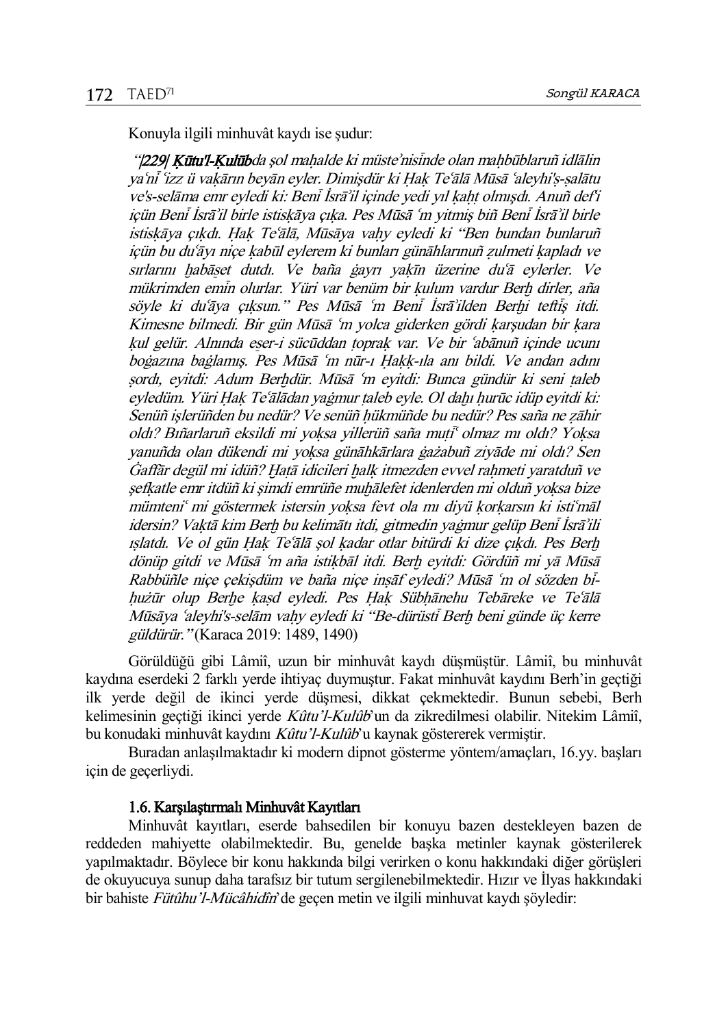Konuyla ilgili minhuvât kaydı ise şudur:

"|229| Kūtu'l-Kulūbda sol mahalde ki müste'nisinde olan mahbūblaruñ idlālin vaʻni ʻizz ü vakārın beyān eyler. Dimişdür ki Hak Teʻālā Mūsā ʻaleyhi's-salātu ve's-selāma emr eyledi ki: Beni İsrā'il içinde yedi yıl kaht olmışdı. Anuñ def'i içün Beni İsrā'il birle iştiskāya çıka. Pes Mūsā 'm yitmiş biñ Beni İsrā'il birle istiskāya çıkdı. Hak Teʿālā, Mūsāya vahy eyledi ki "Ben bundan bunlaruñ içün bu duʿāyı niçe kabūl eylerem ki bunları günāhlarınuñ zulmeti kapladı ve sırlarını habāset dutdı. Ve baña ġayrı yakīn üzerine du'ā eylerler. Ve mükrimden emin olurlar. Yüri var benüm bir kulum vardur Berh dirler, aña söyle ki du'āya çıksun." Pes Mūsā 'm Beni İsrā'ilden Berhi teftis itdi. Kimesne bilmedi. Bir gün Mūsā 'm volca giderken gördi karşudan bir kara kul gelür. Alnında eser-i sücūddan toprak var. Ve bir 'abānuñ içinde ucunı boġazına baġlamış. Pes Mūsā 'm nūr-ı Hakk-ıla anı bildi. Ve andan adını sordı, eyitdi: Adum Berhdür. Mūsā 'm eyitdi: Bunca gündür ki seni taleb eyledüm. Yüri Hak Te'ālādan yaġmur taleb eyle. Ol dahı hurūc idüp eyitdi ki: Senüñ islerüñden bu nedür? Ve senüñ hükmüñde bu nedür? Pes saña ne zāhir oldı? Bıñarlaruñ eksildi mi yoksa yillerüñ saña muti<sup>«</sup> olmaz mı oldı? Yoksa vanuñda olan dükendi mi yoksa günāhkārlara ġażabuñ ziyāde mi oldı? Sen Gaffār degül mi idüñ? Hatā idicileri halk itmezden evvel rahmeti yaratduñ ve şefkatle emr itdüñ ki şimdi emrüñe muhālefet idenlerden mi olduñ yoksa bize mümteni" mi göstermek istersin yoksa fevt ola mı diyü korkarsın ki isti'māl idersin? Vaktā kim Berh bu kelimātı itdi, gitmedin yaġmur gelüp Beni İsrā'ili ıslatdı. Ve ol gün Hak Te'ālā şol kadar otlar bitürdi ki dize çıkdı. Pes Berh dönüp gitdi ve Mūsā 'm aña istikbāl itdi. Berh eyitdi: Gördüñ mi yā Mūsā Rabbüñle nice çekişdüm ve baña nice insāf eyledi? Mūsā 'm ol sözden bihużūr olup Berhe kasd eyledi. Pes Hak Sübhānehu Tebāreke ve Teʿālā Mūsāya ʿaleyhi's-selām vahy eyledi ki "Be-dürüsti Berh beni günde üç kerre güldürür." (Karaca 2019: 1489, 1490)

Görüldüğü gibi Lâmiî, uzun bir minhuvât kaydı düşmüştür. Lâmiî, bu minhuvât kaydına eserdeki 2 farklı yerde ihtiyaç duymuştur. Fakat minhuvât kaydını Berh'in geçtiği ilk yerde değil de ikinci yerde düşmesi, dikkat çekmektedir. Bunun sebebi, Berh kelimesinin geçtiği ikinci yerde Kûtu'l-Kulûb'un da zikredilmesi olabilir. Nitekim Lâmiî, bu konudaki minhuvât kaydını Kûtu'l-Kulûb'u kaynak göstererek vermiştir.

Buradan anlaşılmaktadır ki modern dipnot gösterme yöntem/amaçları, 16.yy. başları için de geçerliydi.

#### 1.6. Karşılaştırmalı Minhuvât Kayıtları

Minhuvât kayıtları, eserde bahsedilen bir konuyu bazen destekleyen bazen de reddeden mahiyette olabilmektedir. Bu, genelde başka metinler kaynak gösterilerek yapılmaktadır. Böylece bir konu hakkında bilgi verirken o konu hakkındaki diğer görüşleri de okuyucuya sunup daha tarafsız bir tutum sergilenebilmektedir. Hızır ve İlyas hakkındaki bir bahiste Fütûhu'l-Mücâhidîn'de geçen metin ve ilgili minhuvat kaydı söyledir: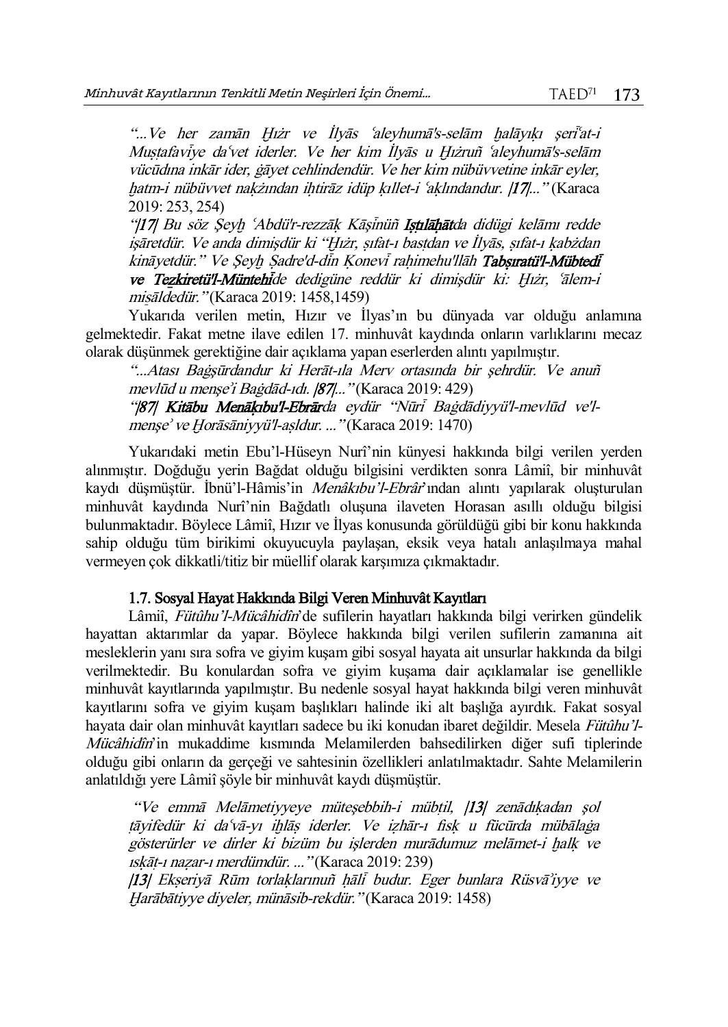"...Ve her zamān Hıżr ve İlyās `aleyhumā's-selām halāyıkı şeri`at-i Mustafaviye daʻvet iderler. Ve her kim İlyās u Hızruñ 'aleyhumā's-selām vücūdına inkār ider, ġāyet cehlindendür. Ve her kim nübüvvetine inkār eyler, hatm-i nübüvvet nakżından ihtirāz idüp kıllet-i ʿaklındandur. |17|..." (Karaca 2019: 253, 254)

"|17| Bu söz Seyh ʿAbdü'r-rezzāk Kāsinüñ Istulāhātda didügi kelāmı redde isāretdür. Ve anda dimisdür ki "Hıżr, sıfat-ı bastdan ve İlyās, şıfat-ı kabżdan kināvetdür." Ve Seyh Sadre'd-din Konevi rahimehu'llāh Tabsıratü'l-Mübtedi ve Tezkiretü'l-Müntehide dedigüne reddür ki dimişdür ki: Hıżr, ʿālem-i miŝāldedür." (Karaca 2019: 1458,1459)

Yukarıda verilen metin, Hızır ve İlyas'ın bu dünyada var olduğu anlamına gelmektedir. Fakat metne ilave edilen 17. minhuvât kaydında onların varlıklarını mecaz olarak düşünmek gerektiğine dair açıklama yapan eserlerden alıntı yapılmıştır.

"...Atası Baġşūrdandur ki Herāt-ıla Merv ortasında bir şehrdür. Ve anuñ mevlūd u menşeÿi Baġdād-ıdı. |87|..." (Karaca 2019: 429) "|87| Kitābu Menākıbu'l-Ebrārda eydür "Nūri Baġdādiyyü'l-mevlūd ve'l-

menşe' ve Horāsāniyyü'l-aşldur. ..." (Karaca 2019: 1470)

Yukarıdaki metin Ebu'l-Hüseyn Nurî'nin künyesi hakkında bilgi verilen yerden alınmıştır. Doğduğu yerin Bağdat olduğu bilgisini verdikten sonra Lâmiî, bir minhuvât kaydı düşmüştür. İbnü'l-Hâmis'in Menâkıbu'l-Ebrâr'ından alıntı yapılarak oluşturulan minhuvât kaydında Nurî'nin Bağdatlı oluşuna ilaveten Horasan asıllı olduğu bilgisi bulunmaktadır. Böylece Lâmiî, Hızır ve İlyas konusunda görüldüğü gibi bir konu hakkında sahip olduğu tüm birikimi okuyucuyla paylaşan, eksik veya hatalı anlaşılmaya mahal vermeyen çok dikkatli/titiz bir müellif olarak karşımıza çıkmaktadır.

## 1.7. Sosyal Hayat Hakkında Bilgi Veren Minhuvât Kayıtları

Lâmiî, Fütûhu'l-Mücâhidîn'de sufilerin hayatları hakkında bilgi verirken gündelik hayattan aktarımlar da yapar. Böylece hakkında bilgi verilen sufilerin zamanına ait mesleklerin yanı sıra sofra ve giyim kuşam gibi sosyal hayata ait unsurlar hakkında da bilgi verilmektedir. Bu konulardan sofra ve giyim kuşama dair açıklamalar ise genellikle minhuvât kayıtlarında yapılmıştır. Bu nedenle sosyal hayat hakkında bilgi veren minhuvât kayıtlarını sofra ve giyim kuşam başlıkları halinde iki alt başlığa ayırdık. Fakat sosyal hayata dair olan minhuvât kayıtları sadece bu iki konudan ibaret değildir. Mesela Fütûhu'l-Mücâhidîn'in mukaddime kısmında Melamilerden bahsedilirken diğer sufi tiplerinde olduğu gibi onların da gerçeği ve sahtesinin özellikleri anlatılmaktadır. Sahte Melamilerin anlatıldığı yere Lâmiî şöyle bir minhuvât kaydı düşmüştür.

"Ve emmā Melāmetiyyeye mütesebbih-i mübtil, [13] zenādıkadan şol tāvifedür ki daʿvā-yı ihlās iderler. Ve izhār-ı fisk u fücūrda mübālaga gösterürler ve dirler ki bizüm bu islerden murādumuz melāmet-i halk ve ıskāt-ı nazar-ı merdümdür. ..." (Karaca 2019: 239) |13| Ekšeriyā Rūm torlaòlarınuñ óālý budur. Eger bunlara Rüsvāÿiyye ve Õarābātiyye diyeler, münāsib-rekdür." (Karaca 2019: 1458)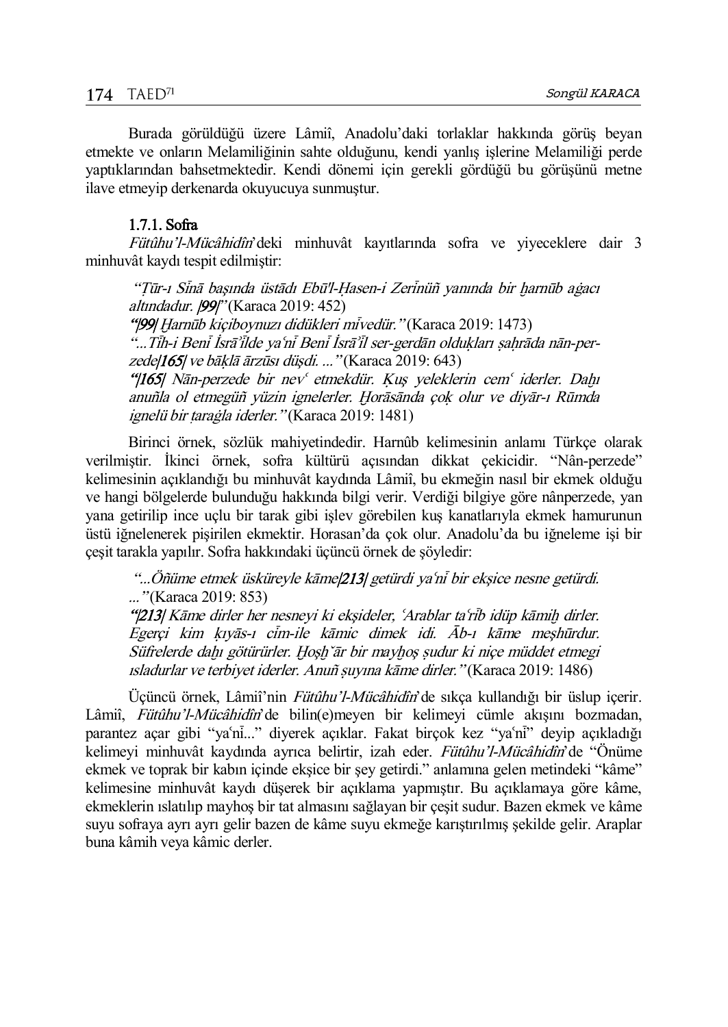Burada görüldüğü üzere Lâmiî, Anadolu'daki torlaklar hakkında görüş beyan etmekte ve onların Melamiliğinin sahte olduğunu, kendi yanlış işlerine Melamiliği perde yaptıklarından bahsetmektedir. Kendi dönemi için gerekli gördüğü bu görüşünü metne ilave etmeyip derkenarda okuyucuya sunmuştur.

### 1.7.1. Sofra

Fütûhu'l-Mücâhidîn'deki minhuvât kayıtlarında sofra ve yiyeceklere dair 3 minhuvât kaydı tespit edilmiştir:

"Tūr-ı Sinā başında üstādı Ebū'l-Hasen-i Zerinüñ vanında bir harnūb aġacı altındadur. [99]" (Karaca 2019: 452)

"|99| Harnūb kiçiboynuzı didükleri miyedür." (Karaca 2019: 1473) "...Tīh-i Benī İsrāʾīlde yaʿnī Benī İsrāʾīl ser-gerdān oldukları sahrāda nān-per $z$ ede $|165|$  ve bāklā ārzūsi düşdi. ... "(Karaca 2019: 643) "|165| Nān-perzede bir nev etmekdür. Kuş yeleklerin cem iderler. Dahı anuñla ol etmegüñ yüzin ignelerler. Horāsānda çok olur ve diyār-ı Rūmda ignelü bir tarağla iderler." (Karaca 2019: 1481)

Birinci örnek, sözlük mahiyetindedir. Harnûb kelimesinin anlamı Türkçe olarak verilmiştir. İkinci örnek, sofra kültürü açısından dikkat çekicidir. "Nân-perzede" kelimesinin açıklandığı bu minhuvât kaydında Lâmiî, bu ekmeğin nasıl bir ekmek olduğu ve hangi bölgelerde bulunduğu hakkında bilgi verir. Verdiği bilgiye göre nânperzede, yan yana getirilip ince uçlu bir tarak gibi işlev görebilen kuş kanatlarıyla ekmek hamurunun üstü iğnelenerek pişirilen ekmektir. Horasan'da çok olur. Anadolu'da bu iğneleme işi bir çeşit tarakla yapılır. Sofra hakkındaki üçüncü örnek de şöyledir:

"...Öñüme etmek üsküreyle kāme|213| getürdi ya'ni bir ekşice nesne getürdi. ..." (Karaca 2019: 853)

"|213| Kāme dirler her nesneyi ki ekşideler, ʿArablar taʿrib idüp kāmiḥ dirler. Egerçi kim kıyās-ı cim-ile kāmic dimek idi. Āb-ı kāme meşhūrdur. Süfrelerde dahı götürürler. Hoşh ār bir mayhoş sudur ki niçe müddet etmegi ısladurlar ve terbiyet iderler. Anuñ šuyına kāme dirler." (Karaca 2019: 1486)

Üçüncü örnek, Lâmiî'nin Fütûhu'l-Mücâhidîn'de sıkça kullandığı bir üslup içerir. Lâmiî, Fütûhu'l-Mücâhidîn'de bilin(e)meyen bir kelimeyi cümle akışını bozmadan, parantez açar gibi "ya'ni..." diyerek açıklar. Fakat birçok kez "ya'ni" deyip açıkladığı kelimeyi minhuvât kaydında ayrıca belirtir, izah eder. Fütûhu'l-Mücâhidîn'de "Önüme ekmek ve toprak bir kabın içinde ekşice bir şey getirdi." anlamına gelen metindeki "kâme" kelimesine minhuvât kaydı düşerek bir açıklama yapmıştır. Bu açıklamaya göre kâme, ekmeklerin ıslatılıp mayhoş bir tat almasını sağlayan bir çeşit sudur. Bazen ekmek ve kâme suyu sofraya ayrı ayrı gelir bazen de kâme suyu ekmeğe karıştırılmış şekilde gelir. Araplar buna kâmih veya kâmic derler.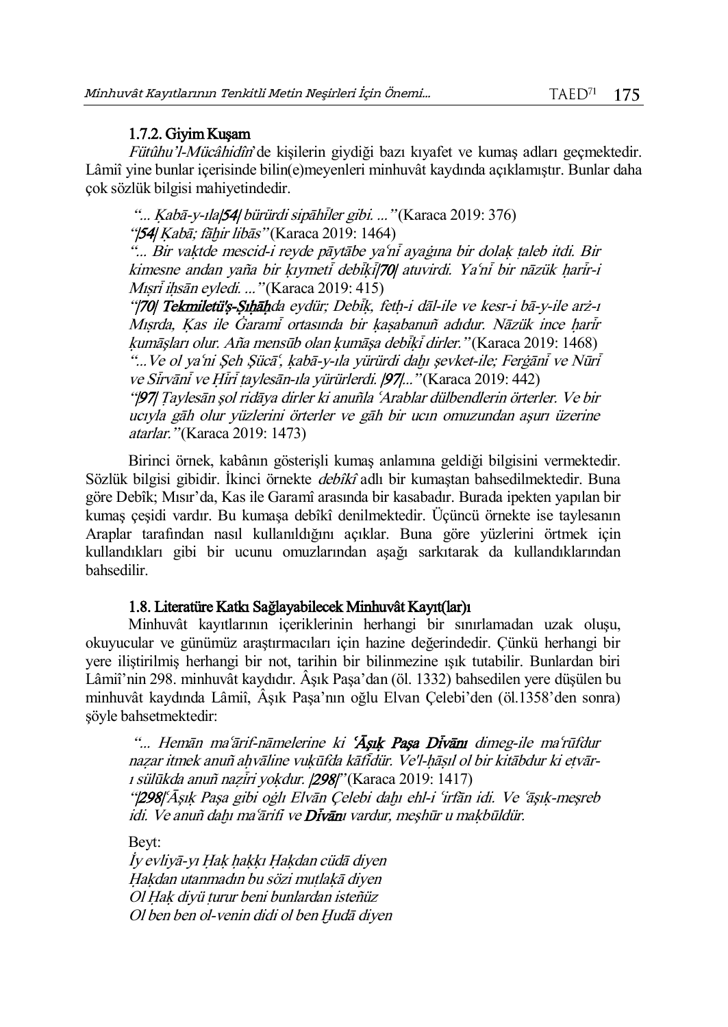# 1.7.2. Giyim Kuşam

Fütûhu'l-Mücâhidîn'de kişilerin giydiği bazı kıyafet ve kumaş adları geçmektedir. Lâmiî yine bunlar içerisinde bilin(e)meyenleri minhuvât kaydında açıklamıştır. Bunlar daha çok sözlük bilgisi mahiyetindedir.

"...  $Kab\bar{a}$ -y-ıla $|54|$  bürürdi sipāhiler gibi. ..." (Karaca 2019: 376) "[54] Kabā; fāhir libās" (Karaca 2019: 1464)

"... Bir vaktde mescid-i reyde pāytābe ya'ni ayaġına bir dolak taleb itdi. Bir kimesne andan yaña bir kıymeti debiki<sup>[70]</sup> atuvirdi. Ya'ni bir nāzük harir-i Mışri ihsān eyledi. ... "(Karaca 2019: 415)

"|70| Tekmiletü's-Sıhāhda eydür; Debik, feth-i dāl-ile ve kesr-i bā-y-ile arż-ı Mısrda, Kas ile Garami ortasında bir kasabanuñ adıdur. Nāzük ince harir kumāşları olur. Aña mensūb olan kumāşa debiki dirler." (Karaca 2019: 1468) "...Ve ol ya'ni Şeh Şücā", kabā-y-ıla yürürdi dahı şevket-ile; Ferġāni ve Nūri ve Sirvāni ve Hiri taylesān-ıla yürürlerdi.  $|97|$ ..." (Karaca 2019: 442)

"|97| Ţaylesān şol ridāya dirler ki anuñla ŤArablar dülbendlerin örterler. Ve bir ucıyla gāh olur yüzlerini örterler ve gāh bir ucın omuzundan aşurı üzerine atarlar." (Karaca 2019: 1473)

Birinci örnek, kabânın gösterişli kumaş anlamına geldiği bilgisini vermektedir. Sözlük bilgisi gibidir. İkinci örnekte *debîkî* adlı bir kumaştan bahsedilmektedir. Buna göre Debîk; Mısır'da, Kas ile Garamî arasında bir kasabadır. Burada ipekten yapılan bir kumaş çeşidi vardır. Bu kumaşa debîkî denilmektedir. Üçüncü örnekte ise taylesanın Araplar tarafından nasıl kullanıldığını açıklar. Buna göre yüzlerini örtmek için kullandıkları gibi bir ucunu omuzlarından aşağı sarkıtarak da kullandıklarından bahsedilir.

## 1.8. Literatüre Katkı Sağlayabilecek Minhuvât Kayıt(lar)ı

Minhuvât kayıtlarının içeriklerinin herhangi bir sınırlamadan uzak oluşu, okuyucular ve günümüz araştırmacıları için hazine değerindedir. Çünkü herhangi bir yere iliştirilmiş herhangi bir not, tarihin bir bilinmezine ışık tutabilir. Bunlardan biri Lâmiî'nin 298. minhuvât kaydıdır. Âşık Paşa'dan (öl. 1332) bahsedilen yere düşülen bu minhuvât kaydında Lâmiî, Âşık Paşa'nın oğlu Elvan Çelebi'den (öl.1358'den sonra) şöyle bahsetmektedir:

"... Hemān maʿārif-nāmelerine ki ʿĀsık Pasa Divām dimeg-ile maʿrūfdur nazar itmek anuñ ahvāline vukūfda kāfidür. Ve'l-hāsıl ol bir kitābdur ki etvār-1 sülūkda anuñ nazīri yokdur. [298]" (Karaca 2019: 1417) "|298|'Āşık Paşa gibi oġlı Elvān Çelebi dahı ehl-i 'irfān idi. Ve 'āşık-meşreb idi. Ve anuñ dahı maʿārifi ve **Divān**ı vardur, meşhūr u makbūldür.

Beyt:

İy evliyā-yı Hak hakkı Hakdan cüdā diyen Hakdan utanmadın bu sözi mutlakā diyen Ol Hak diyü turur beni bunlardan isteñüz Ol ben ben ol-venin didi ol ben Hudā diyen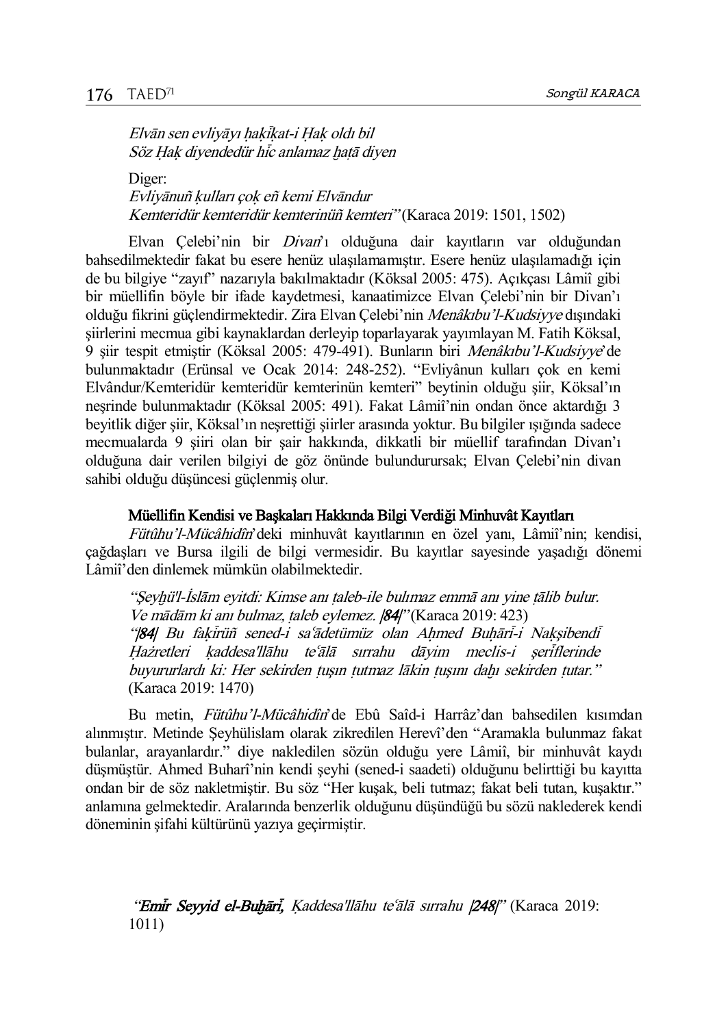Elvān sen evliyāyı hakikat-i Hak oldı bil Söz Hak diyendedür hic anlamaz hatā diyen

Diger: Evliyānuñ kulları çok eñ kemi Elvāndur Kemteridür kemteridür kemterinüñ kemteri" (Karaca 2019: 1501, 1502)

Elvan Celebi'nin bir *Divan*'ı olduğuna dair kayıtların var olduğundan bahsedilmektedir fakat bu esere henüz ulaşılamamıştır. Esere henüz ulaşılamadığı için de bu bilgiye "zayıf" nazarıyla bakılmaktadır (Köksal 2005: 475). Açıkçası Lâmiî gibi bir müellifin böyle bir ifade kaydetmesi, kanaatimizce Elvan Çelebi'nin bir Divan'ı olduğu fikrini güçlendirmektedir. Zira Elvan Çelebi'nin Menâkıbu'l-Kudsiyye dışındaki şiirlerini mecmua gibi kaynaklardan derleyip toparlayarak yayımlayan M. Fatih Köksal, 9 şiir tespit etmiştir (Köksal 2005: 479-491). Bunların biri Menâkıbu'l-Kudsiyye'de bulunmaktadır (Erünsal ve Ocak 2014: 248-252). "Evliyânun kulları çok en kemi Elvândur/Kemteridür kemteridür kemterinün kemteri" beytinin olduğu şiir, Köksal'ın neşrinde bulunmaktadır (Köksal 2005: 491). Fakat Lâmiî'nin ondan önce aktardığı 3 beyitlik diğer şiir, Köksal'ın neşrettiği şiirler arasında yoktur. Bu bilgiler ışığında sadece mecmualarda 9 şiiri olan bir şair hakkında, dikkatli bir müellif tarafından Divan'ı olduğuna dair verilen bilgiyi de göz önünde bulundurursak; Elvan Çelebi'nin divan sahibi olduğu düşüncesi güçlenmiş olur.

#### Müellifin Kendisi ve Başkaları Hakkında Bilgi Verdiği Minhuvât Kayıtları

Fütûhu'l-Mücâhidîn'deki minhuvât kayıtlarının en özel yanı, Lâmiî'nin; kendisi, çağdaşları ve Bursa ilgili de bilgi vermesidir. Bu kayıtlar sayesinde yaşadığı dönemi Lâmiî'den dinlemek mümkün olabilmektedir.

"Şeyhü'l-İslām eyitdi: Kimse anı taleb-ile bulımaz emmā anı yine tālib bulur. Ve mādām ki anı bulmaz, taleb eylemez.  $|84|$ " (Karaca 2019: 423) "|84| Bu fakirüñ sened-i saʿādetümüz olan Ahmed Buhāri-i Nakşibendi Hażretleri kaddesa'llāhu teʿālā sırrahu dāyim meclis-i şeriflerinde buyururlardı ki: Her sekirden tuşın tutmaz lākin tuşını dahı sekirden tutar." (Karaca 2019: 1470)

Bu metin, *Fütûhu'l-Mücâhidîn*'de Ebû Saîd-i Harrâz'dan bahsedilen kısımdan alınmıştır. Metinde Şeyhülislam olarak zikredilen Herevî'den "Aramakla bulunmaz fakat bulanlar, arayanlardır." diye nakledilen sözün olduğu yere Lâmiî, bir minhuvât kaydı düşmüştür. Ahmed Buharî'nin kendi şeyhi (sened-i saadeti) olduğunu belirttiği bu kayıtta ondan bir de söz nakletmiştir. Bu söz "Her kuşak, beli tutmaz; fakat beli tutan, kuşaktır." anlamına gelmektedir. Aralarında benzerlik olduğunu düşündüğü bu sözü naklederek kendi döneminin şifahi kültürünü yazıya geçirmiştir.

"Emir Seyyid el-Buhāri, Kaddesa'llāhu teʻālā sırrahu  $[248]$ " (Karaca 2019: 1011)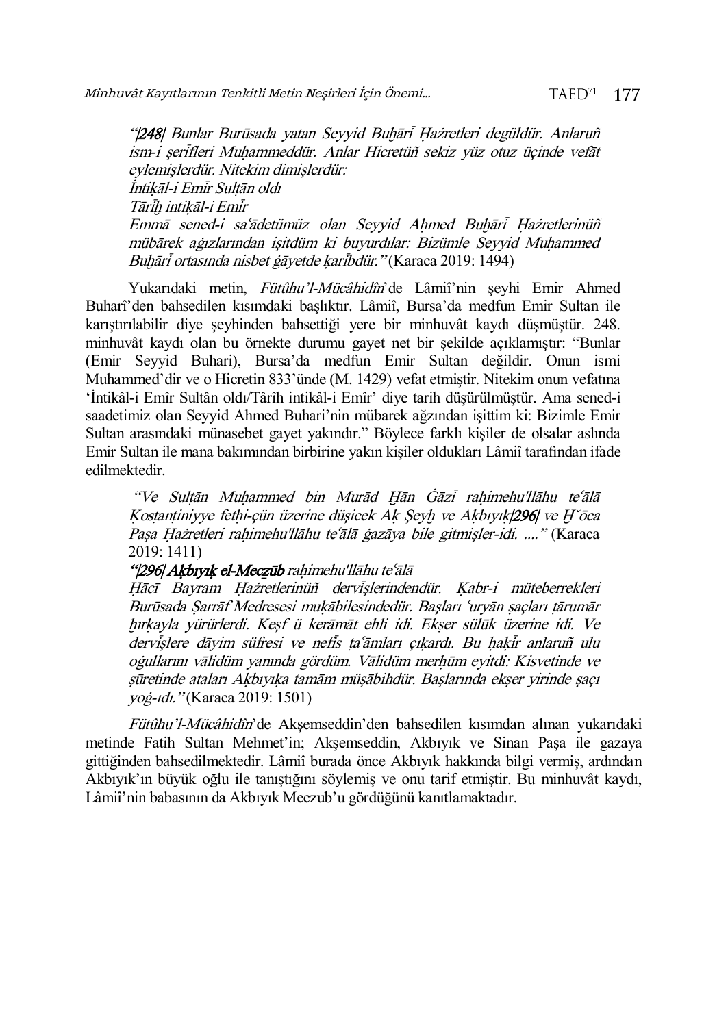"|248| Bunlar Burūsada yatan Seyyid Buhāri Hażretleri degüldür. Anlaruñ ism-i şerifleri Muhammeddür. Anlar Hicretüñ sekiz yüz otuz üçinde vefāt eylemişlerdür. Nitekim dimişlerdür: İntikāl-i Emir Sultān oldı Tārīh intikāl-i Emīr Emmā sened-i saʿādetümüz olan Seyyid Ahmed Buhāri Hażretlerinüñ mübārek aġızlarından işitdüm ki buyurdılar: Bizümle Seyyid Muhammed Buhāri ortasında nisbet gāvetde karibdür." (Karaca 2019: 1494)

Yukarıdaki metin, Fütûhu'l-Mücâhidîn'de Lâmiî'nin şeyhi Emir Ahmed Buharî'den bahsedilen kısımdaki başlıktır. Lâmiî, Bursa'da medfun Emir Sultan ile karıştırılabilir diye şeyhinden bahsettiği yere bir minhuvât kaydı düşmüştür. 248. minhuvât kaydı olan bu örnekte durumu gayet net bir şekilde açıklamıştır: "Bunlar (Emir Seyyid Buhari), Bursa'da medfun Emir Sultan değildir. Onun ismi Muhammed'dir ve o Hicretin 833'ünde (M. 1429) vefat etmiştir. Nitekim onun vefatına 'İntikâl-i Emîr Sultân oldı/Târîh intikâl-i Emîr' diye tarih düşürülmüştür. Ama sened-i saadetimiz olan Seyyid Ahmed Buhari'nin mübarek ağzından işittim ki: Bizimle Emir Sultan arasındaki münasebet gayet yakındır." Böylece farklı kişiler de olsalar aslında Emir Sultan ile mana bakımından birbirine yakın kişiler oldukları Lâmiî tarafından ifade edilmektedir.

"Ve Sultān Muhammed bin Murād Hān Gāzī rahimehu'llāhu teʿālā Kostantiniyye fethi-çün üzerine düşicek Ak Seyh ve Akbıyık|296| ve H'ōca Pasa Hażretleri rahimehu'llāhu teʿālā ġazāya bile gitmişler-idi. ...." (Karaca 2019: 1411)

## "|296| Akbıyık el-Meczūb rahimehu'llāhu teʿālā

Hācī Bayram Hażretlerinüñ dervislerindendür. Kabr-i müteberrekleri Burūsada Sarrāf Medresesi mukābilesindedür. Başları 'uryān saçları tārumār õıròayla yürürlerdi. Keşf ü kerāmāt ehli idi. Ekšer sülūk üzerine idi. Ve dervişlere dāyim süfresi ve nefis ta'āmları çıkardı. Bu hakir anlaruñ ulu oġullarını vālidüm vanında gördüm. Vālidüm merhūm eyitdi: Kisvetinde ve sūretinde ataları Akbıyıka tamām müsābihdür. Baslarında ekser yirinde saçı yoġ-ıdı." (Karaca 2019: 1501)

Fütûhu'l-Mücâhidîn'de Akşemseddin'den bahsedilen kısımdan alınan yukarıdaki metinde Fatih Sultan Mehmet'in; Akşemseddin, Akbıyık ve Sinan Paşa ile gazaya gittiğinden bahsedilmektedir. Lâmiî burada önce Akbıyık hakkında bilgi vermiş, ardından Akbıyık'ın büyük oğlu ile tanıştığını söylemiş ve onu tarif etmiştir. Bu minhuvât kaydı, Lâmiî'nin babasının da Akbıyık Meczub'u gördüğünü kanıtlamaktadır.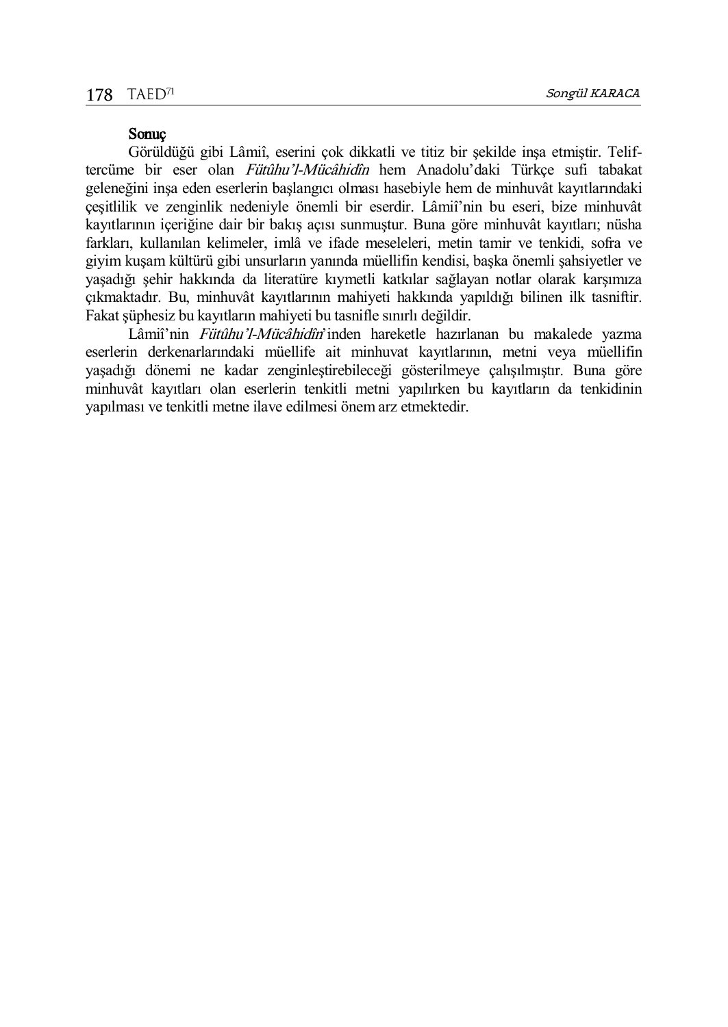# Sonuç

Görüldüğü gibi Lâmiî, eserini çok dikkatli ve titiz bir şekilde inşa etmiştir. Teliftercüme bir eser olan *Fütûhu'l-Mücâhidîn* hem Anadolu'daki Türkçe sufi tabakat geleneğini inşa eden eserlerin başlangıcı olması hasebiyle hem de minhuvât kayıtlarındaki çeşitlilik ve zenginlik nedeniyle önemli bir eserdir. Lâmiî'nin bu eseri, bize minhuvât kayıtlarının içeriğine dair bir bakış açısı sunmuştur. Buna göre minhuvât kayıtları; nüsha farkları, kullanılan kelimeler, imlâ ve ifade meseleleri, metin tamir ve tenkidi, sofra ve giyim kuşam kültürü gibi unsurların yanında müellifin kendisi, başka önemli şahsiyetler ve yaşadığı şehir hakkında da literatüre kıymetli katkılar sağlayan notlar olarak karşımıza çıkmaktadır. Bu, minhuvât kayıtlarının mahiyeti hakkında yapıldığı bilinen ilk tasniftir. Fakat şüphesiz bu kayıtların mahiyeti bu tasnifle sınırlı değildir.

Lâmiî'nin Fütûhu'l-Mücâhidîn'inden hareketle hazırlanan bu makalede yazma eserlerin derkenarlarındaki müellife ait minhuvat kayıtlarının, metni veya müellifin yaşadığı dönemi ne kadar zenginleştirebileceği gösterilmeye çalışılmıştır. Buna göre minhuvât kayıtları olan eserlerin tenkitli metni yapılırken bu kayıtların da tenkidinin yapılması ve tenkitli metne ilave edilmesi önem arz etmektedir.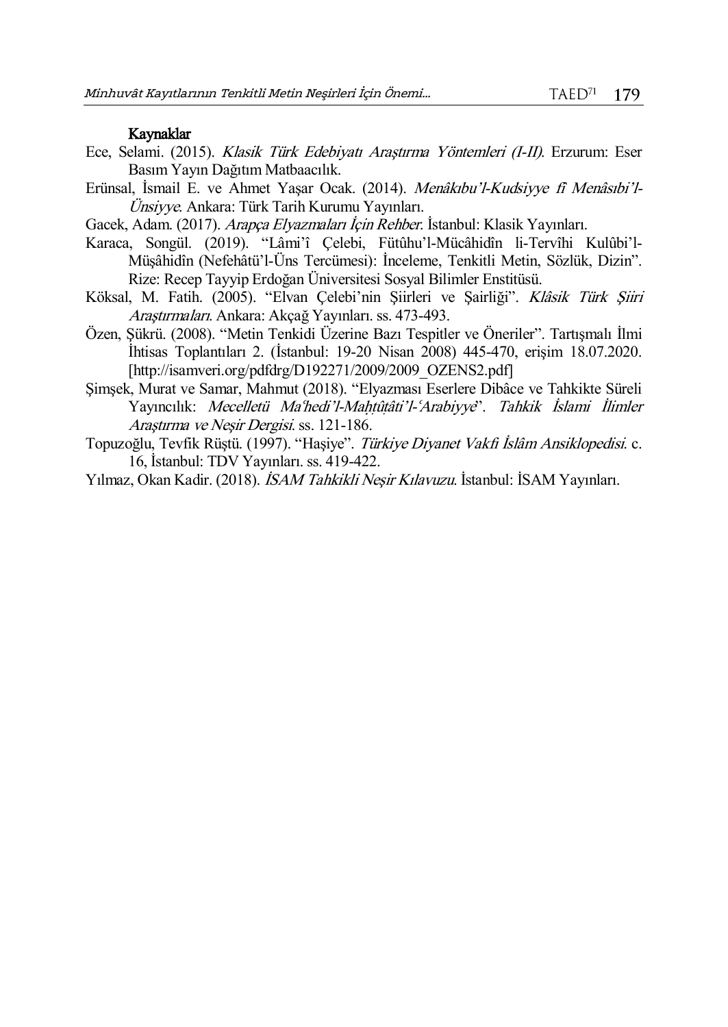# Kaynaklar

- Ece, Selami. (2015). Klasik Türk Edebiyatı Araştırma Yöntemleri (I-II). Erzurum: Eser Basım Yayın Dağıtım Matbaacılık.
- Erünsal, İsmail E. ve Ahmet Yaşar Ocak. (2014). Menâkıbu'l-Kudsiyye fî Menâsıbi'l-Ünsiyye. Ankara: Türk Tarih Kurumu Yayınları.
- Gacek, Adam. (2017). Arapça Elyazmaları İçin Rehber. İstanbul: Klasik Yayınları.
- Karaca, Songül. (2019). "Lâmi'î Çelebi, Fütûhu'l-Mücâhidîn li-Tervîhi Kulûbi'l-Müşâhidîn (Nefehâtü'l-Üns Tercümesi): İnceleme, Tenkitli Metin, Sözlük, Dizin". Rize: Recep Tayyip Erdoğan Üniversitesi Sosyal Bilimler Enstitüsü.
- Köksal, M. Fatih. (2005). "Elvan Çelebi'nin Şiirleri ve Şairliği". Klâsik Türk Şiiri Araştırmaları. Ankara: Akçağ Yayınları. ss. 473-493.
- Özen, Şükrü. (2008). "Metin Tenkidi Üzerine Bazı Tespitler ve Öneriler". Tartışmalı İlmi İhtisas Toplantıları 2. (İstanbul: 19-20 Nisan 2008) 445-470, erişim 18.07.2020. [http://isamveri.org/pdfdrg/D192271/2009/2009\_OZENS2.pdf]
- Şimşek, Murat ve Samar, Mahmut (2018). "Elyazması Eserlere Dibâce ve Tahkikte Süreli Yayıncılık: Mecelletü Ma'hedi'l-Mahtûtâti'l-'Arabiyye''. Tahkik İslami İlimler Araştırma ve Neşir Dergisi. ss. 121-186.
- Topuzoğlu, Tevfik Rüştü. (1997). "Haşiye". Türkiye Diyanet Vakfı İslâm Ansiklopedisi. c. 16, İstanbul: TDV Yayınları. ss. 419-422.
- Yılmaz, Okan Kadir. (2018). İSAM Tahkikli Neşir Kılavuzu. İstanbul: İSAM Yayınları.